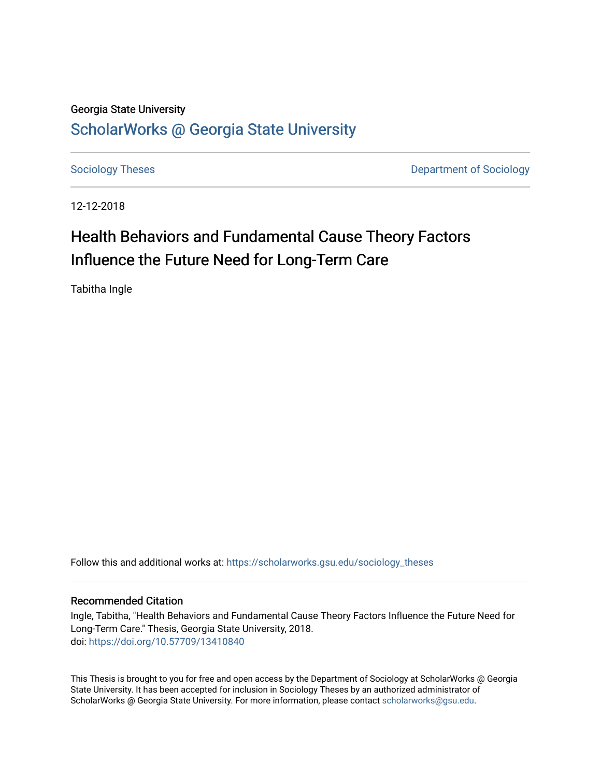## Georgia State University [ScholarWorks @ Georgia State University](https://scholarworks.gsu.edu/)

[Sociology Theses](https://scholarworks.gsu.edu/sociology_theses) **Department of Sociology** 

12-12-2018

## Health Behaviors and Fundamental Cause Theory Factors Influence the Future Need for Long-Term Care

Tabitha Ingle

Follow this and additional works at: [https://scholarworks.gsu.edu/sociology\\_theses](https://scholarworks.gsu.edu/sociology_theses?utm_source=scholarworks.gsu.edu%2Fsociology_theses%2F75&utm_medium=PDF&utm_campaign=PDFCoverPages) 

#### Recommended Citation

Ingle, Tabitha, "Health Behaviors and Fundamental Cause Theory Factors Influence the Future Need for Long-Term Care." Thesis, Georgia State University, 2018. doi: <https://doi.org/10.57709/13410840>

This Thesis is brought to you for free and open access by the Department of Sociology at ScholarWorks @ Georgia State University. It has been accepted for inclusion in Sociology Theses by an authorized administrator of ScholarWorks @ Georgia State University. For more information, please contact [scholarworks@gsu.edu](mailto:scholarworks@gsu.edu).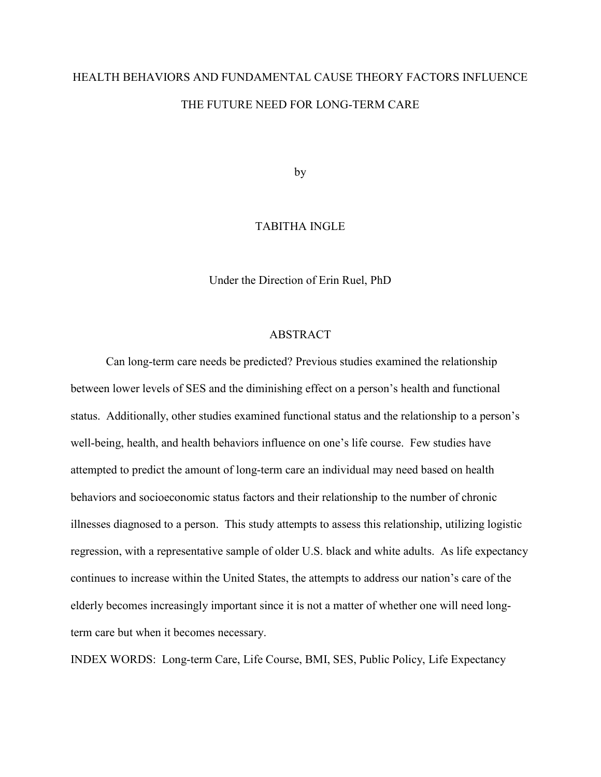# HEALTH BEHAVIORS AND FUNDAMENTAL CAUSE THEORY FACTORS INFLUENCE THE FUTURE NEED FOR LONG-TERM CARE

by

#### TABITHA INGLE

Under the Direction of Erin Ruel, PhD

#### ABSTRACT

Can long-term care needs be predicted? Previous studies examined the relationship between lower levels of SES and the diminishing effect on a person's health and functional status. Additionally, other studies examined functional status and the relationship to a person's well-being, health, and health behaviors influence on one's life course. Few studies have attempted to predict the amount of long-term care an individual may need based on health behaviors and socioeconomic status factors and their relationship to the number of chronic illnesses diagnosed to a person. This study attempts to assess this relationship, utilizing logistic regression, with a representative sample of older U.S. black and white adults. As life expectancy continues to increase within the United States, the attempts to address our nation's care of the elderly becomes increasingly important since it is not a matter of whether one will need longterm care but when it becomes necessary.

INDEX WORDS: Long-term Care, Life Course, BMI, SES, Public Policy, Life Expectancy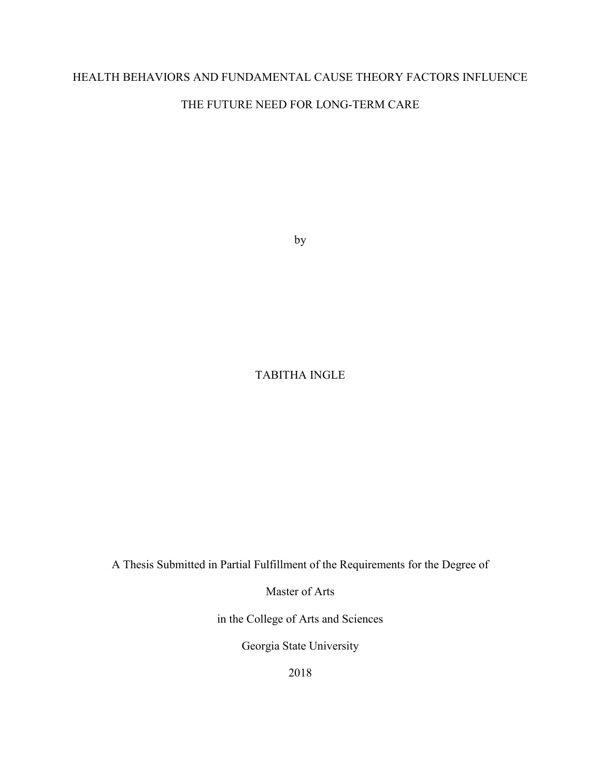### HEALTH BEHAVIORS AND FUNDAMENTAL CAUSE THEORY FACTORS INFLUENCE

### THE FUTURE NEED FOR LONG-TERM CARE

by

### TABITHA INGLE

A Thesis Submitted in Partial Fulfillment of the Requirements for the Degree of

Master of Arts

in the College of Arts and Sciences

Georgia State University

2018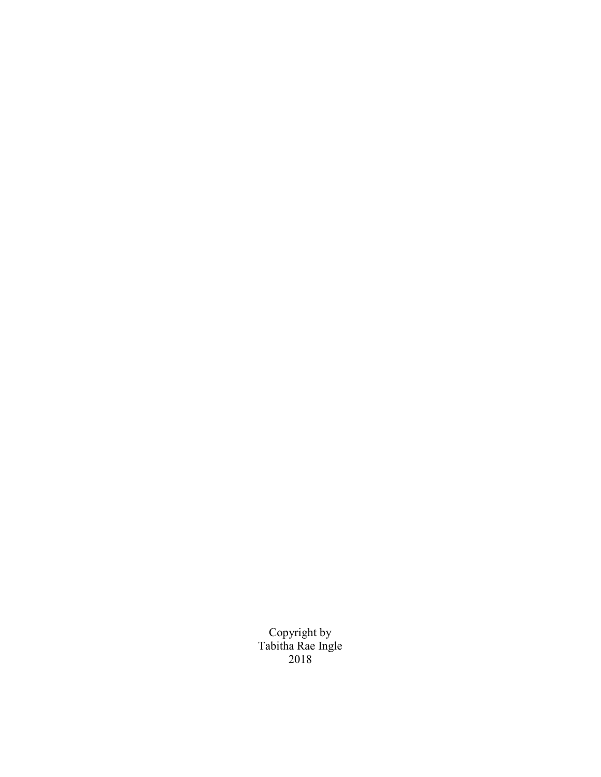Copyright by Tabitha Rae Ingle 2018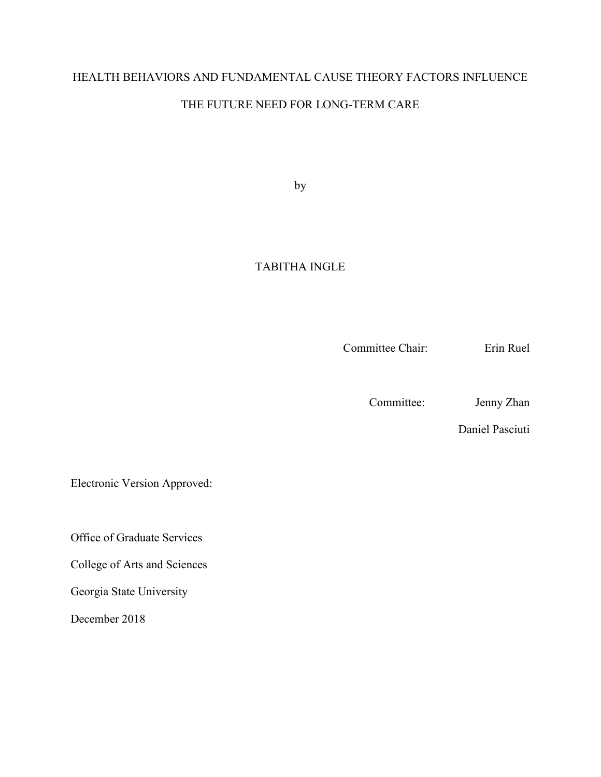### HEALTH BEHAVIORS AND FUNDAMENTAL CAUSE THEORY FACTORS INFLUENCE

### THE FUTURE NEED FOR LONG-TERM CARE

by

### TABITHA INGLE

Committee Chair: Erin Ruel

Committee: Jenny Zhan

Daniel Pasciuti

Electronic Version Approved:

Office of Graduate Services

College of Arts and Sciences

Georgia State University

December 2018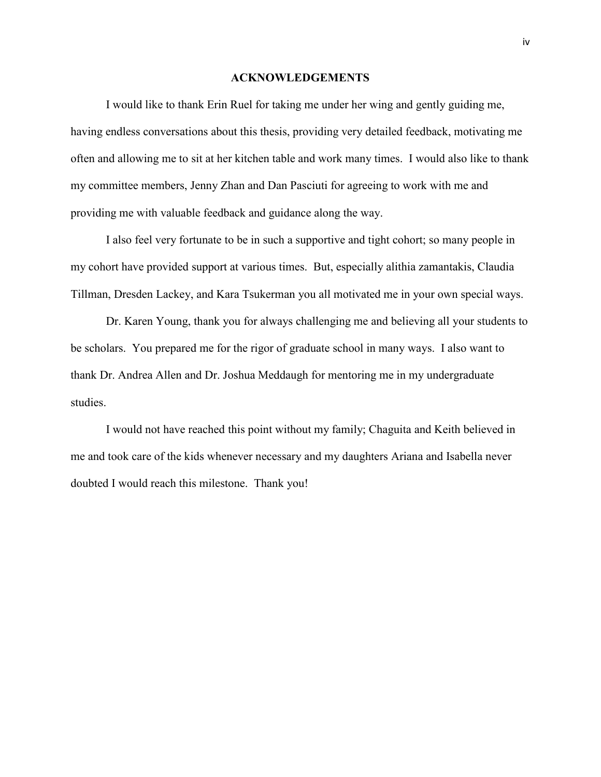#### **ACKNOWLEDGEMENTS**

<span id="page-5-0"></span>I would like to thank Erin Ruel for taking me under her wing and gently guiding me, having endless conversations about this thesis, providing very detailed feedback, motivating me often and allowing me to sit at her kitchen table and work many times. I would also like to thank my committee members, Jenny Zhan and Dan Pasciuti for agreeing to work with me and providing me with valuable feedback and guidance along the way.

I also feel very fortunate to be in such a supportive and tight cohort; so many people in my cohort have provided support at various times. But, especially alithia zamantakis, Claudia Tillman, Dresden Lackey, and Kara Tsukerman you all motivated me in your own special ways.

Dr. Karen Young, thank you for always challenging me and believing all your students to be scholars. You prepared me for the rigor of graduate school in many ways. I also want to thank Dr. Andrea Allen and Dr. Joshua Meddaugh for mentoring me in my undergraduate studies.

I would not have reached this point without my family; Chaguita and Keith believed in me and took care of the kids whenever necessary and my daughters Ariana and Isabella never doubted I would reach this milestone. Thank you!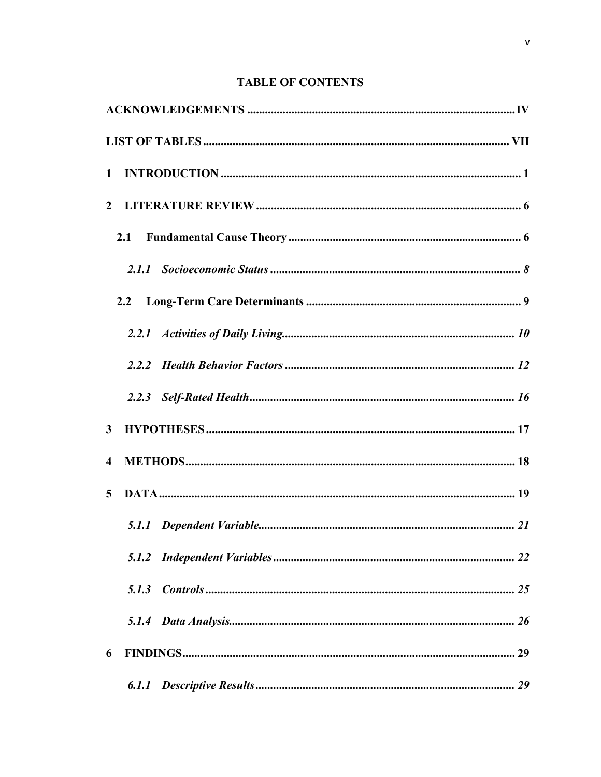### **TABLE OF CONTENTS**

| $\mathbf{1}$            |     |  |
|-------------------------|-----|--|
|                         |     |  |
|                         | 2.1 |  |
|                         |     |  |
|                         | 2.2 |  |
|                         |     |  |
|                         |     |  |
|                         |     |  |
| $\mathbf{3}$            |     |  |
| $\overline{\mathbf{4}}$ |     |  |
| $5^{\circ}$             |     |  |
|                         |     |  |
|                         |     |  |
|                         |     |  |
|                         |     |  |
| 6                       |     |  |
|                         |     |  |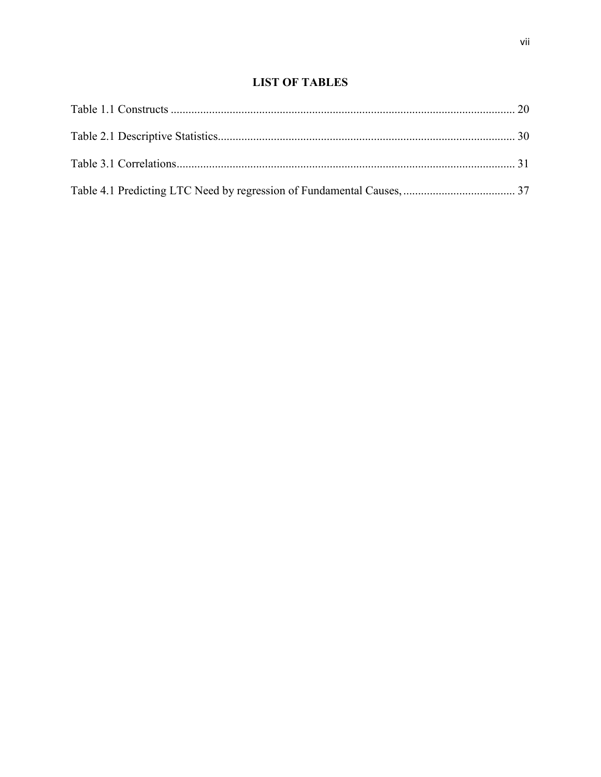### **LIST OF TABLES**

<span id="page-8-0"></span>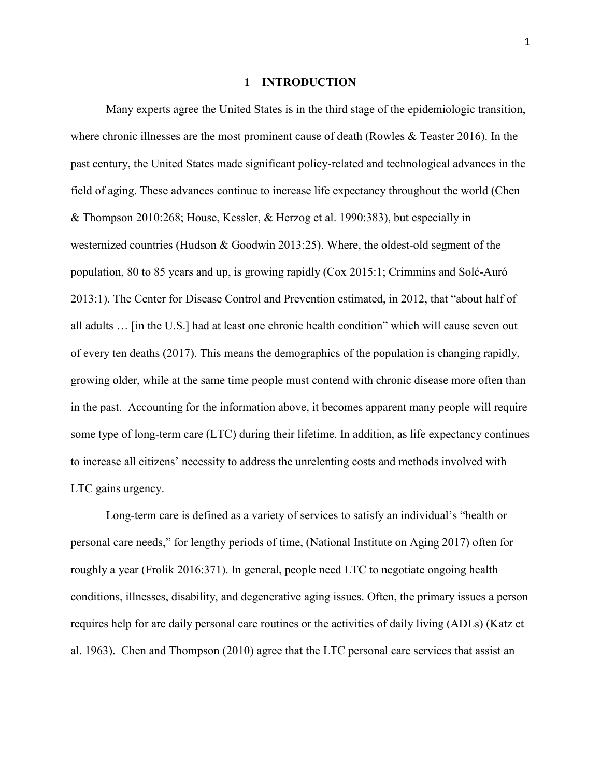#### **1 INTRODUCTION**

<span id="page-9-0"></span>Many experts agree the United States is in the third stage of the epidemiologic transition, where chronic illnesses are the most prominent cause of death (Rowles & Teaster 2016). In the past century, the United States made significant policy-related and technological advances in the field of aging. These advances continue to increase life expectancy throughout the world (Chen & Thompson 2010:268; House, Kessler, & Herzog et al. 1990:383), but especially in westernized countries (Hudson & Goodwin 2013:25). Where, the oldest-old segment of the population, 80 to 85 years and up, is growing rapidly (Cox 2015:1; Crimmins and Solé-Auró 2013:1). The Center for Disease Control and Prevention estimated, in 2012, that "about half of all adults … [in the U.S.] had at least one chronic health condition" which will cause seven out of every ten deaths (2017). This means the demographics of the population is changing rapidly, growing older, while at the same time people must contend with chronic disease more often than in the past. Accounting for the information above, it becomes apparent many people will require some type of long-term care (LTC) during their lifetime. In addition, as life expectancy continues to increase all citizens' necessity to address the unrelenting costs and methods involved with LTC gains urgency.

Long-term care is defined as a variety of services to satisfy an individual's "health or personal care needs," for lengthy periods of time, (National Institute on Aging 2017) often for roughly a year (Frolik 2016:371). In general, people need LTC to negotiate ongoing health conditions, illnesses, disability, and degenerative aging issues. Often, the primary issues a person requires help for are daily personal care routines or the activities of daily living (ADLs) (Katz et al. 1963). Chen and Thompson (2010) agree that the LTC personal care services that assist an

1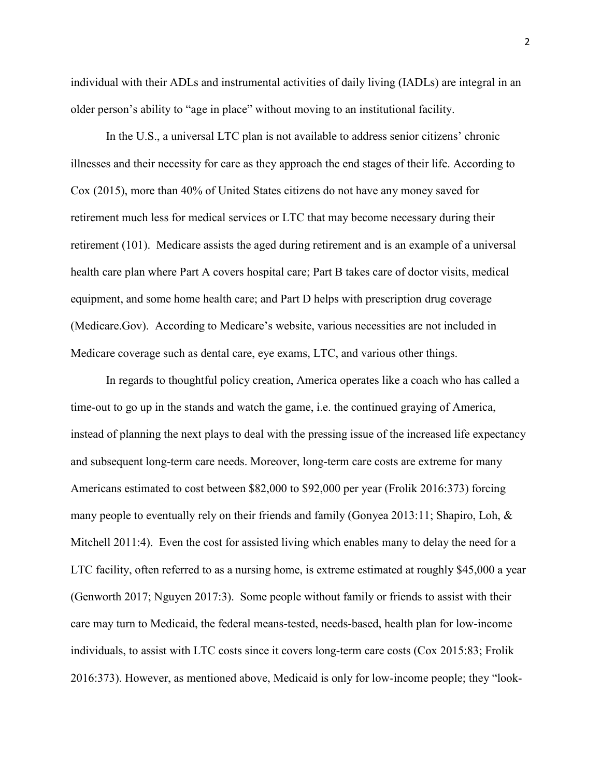individual with their ADLs and instrumental activities of daily living (IADLs) are integral in an older person's ability to "age in place" without moving to an institutional facility.

In the U.S., a universal LTC plan is not available to address senior citizens' chronic illnesses and their necessity for care as they approach the end stages of their life. According to Cox (2015), more than 40% of United States citizens do not have any money saved for retirement much less for medical services or LTC that may become necessary during their retirement (101). Medicare assists the aged during retirement and is an example of a universal health care plan where Part A covers hospital care; Part B takes care of doctor visits, medical equipment, and some home health care; and Part D helps with prescription drug coverage (Medicare.Gov). According to Medicare's website, various necessities are not included in Medicare coverage such as dental care, eye exams, LTC, and various other things.

In regards to thoughtful policy creation, America operates like a coach who has called a time-out to go up in the stands and watch the game, i.e. the continued graying of America, instead of planning the next plays to deal with the pressing issue of the increased life expectancy and subsequent long-term care needs. Moreover, long-term care costs are extreme for many Americans estimated to cost between \$82,000 to \$92,000 per year (Frolik 2016:373) forcing many people to eventually rely on their friends and family (Gonyea 2013:11; Shapiro, Loh, & Mitchell 2011:4). Even the cost for assisted living which enables many to delay the need for a LTC facility, often referred to as a nursing home, is extreme estimated at roughly \$45,000 a year (Genworth 2017; Nguyen 2017:3). Some people without family or friends to assist with their care may turn to Medicaid, the federal means-tested, needs-based, health plan for low-income individuals, to assist with LTC costs since it covers long-term care costs (Cox 2015:83; Frolik 2016:373). However, as mentioned above, Medicaid is only for low-income people; they "look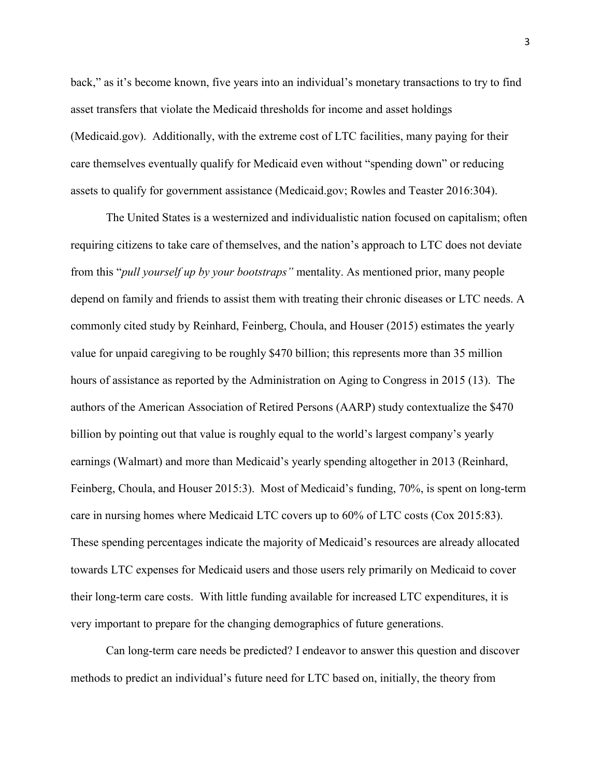back," as it's become known, five years into an individual's monetary transactions to try to find asset transfers that violate the Medicaid thresholds for income and asset holdings (Medicaid.gov). Additionally, with the extreme cost of LTC facilities, many paying for their care themselves eventually qualify for Medicaid even without "spending down" or reducing assets to qualify for government assistance (Medicaid.gov; Rowles and Teaster 2016:304).

The United States is a westernized and individualistic nation focused on capitalism; often requiring citizens to take care of themselves, and the nation's approach to LTC does not deviate from this "*pull yourself up by your bootstraps"* mentality. As mentioned prior, many people depend on family and friends to assist them with treating their chronic diseases or LTC needs. A commonly cited study by Reinhard, Feinberg, Choula, and Houser (2015) estimates the yearly value for unpaid caregiving to be roughly \$470 billion; this represents more than 35 million hours of assistance as reported by the Administration on Aging to Congress in 2015 (13). The authors of the American Association of Retired Persons (AARP) study contextualize the \$470 billion by pointing out that value is roughly equal to the world's largest company's yearly earnings (Walmart) and more than Medicaid's yearly spending altogether in 2013 (Reinhard, Feinberg, Choula, and Houser 2015:3). Most of Medicaid's funding, 70%, is spent on long-term care in nursing homes where Medicaid LTC covers up to 60% of LTC costs (Cox 2015:83). These spending percentages indicate the majority of Medicaid's resources are already allocated towards LTC expenses for Medicaid users and those users rely primarily on Medicaid to cover their long-term care costs. With little funding available for increased LTC expenditures, it is very important to prepare for the changing demographics of future generations.

Can long-term care needs be predicted? I endeavor to answer this question and discover methods to predict an individual's future need for LTC based on, initially, the theory from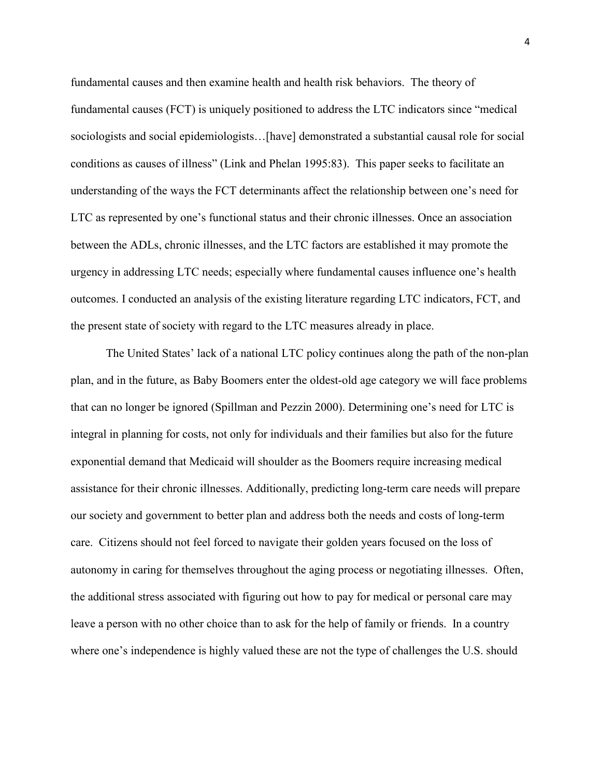fundamental causes and then examine health and health risk behaviors. The theory of fundamental causes (FCT) is uniquely positioned to address the LTC indicators since "medical sociologists and social epidemiologists…[have] demonstrated a substantial causal role for social conditions as causes of illness" (Link and Phelan 1995:83). This paper seeks to facilitate an understanding of the ways the FCT determinants affect the relationship between one's need for LTC as represented by one's functional status and their chronic illnesses. Once an association between the ADLs, chronic illnesses, and the LTC factors are established it may promote the urgency in addressing LTC needs; especially where fundamental causes influence one's health outcomes. I conducted an analysis of the existing literature regarding LTC indicators, FCT, and the present state of society with regard to the LTC measures already in place.

The United States' lack of a national LTC policy continues along the path of the non-plan plan, and in the future, as Baby Boomers enter the oldest-old age category we will face problems that can no longer be ignored (Spillman and Pezzin 2000). Determining one's need for LTC is integral in planning for costs, not only for individuals and their families but also for the future exponential demand that Medicaid will shoulder as the Boomers require increasing medical assistance for their chronic illnesses. Additionally, predicting long-term care needs will prepare our society and government to better plan and address both the needs and costs of long-term care. Citizens should not feel forced to navigate their golden years focused on the loss of autonomy in caring for themselves throughout the aging process or negotiating illnesses. Often, the additional stress associated with figuring out how to pay for medical or personal care may leave a person with no other choice than to ask for the help of family or friends. In a country where one's independence is highly valued these are not the type of challenges the U.S. should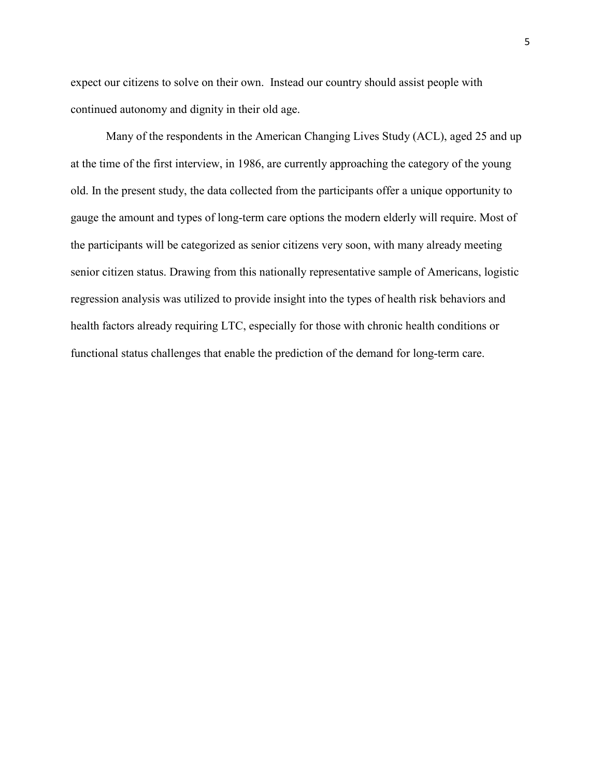expect our citizens to solve on their own. Instead our country should assist people with continued autonomy and dignity in their old age.

Many of the respondents in the American Changing Lives Study (ACL), aged 25 and up at the time of the first interview, in 1986, are currently approaching the category of the young old. In the present study, the data collected from the participants offer a unique opportunity to gauge the amount and types of long-term care options the modern elderly will require. Most of the participants will be categorized as senior citizens very soon, with many already meeting senior citizen status. Drawing from this nationally representative sample of Americans, logistic regression analysis was utilized to provide insight into the types of health risk behaviors and health factors already requiring LTC, especially for those with chronic health conditions or functional status challenges that enable the prediction of the demand for long-term care.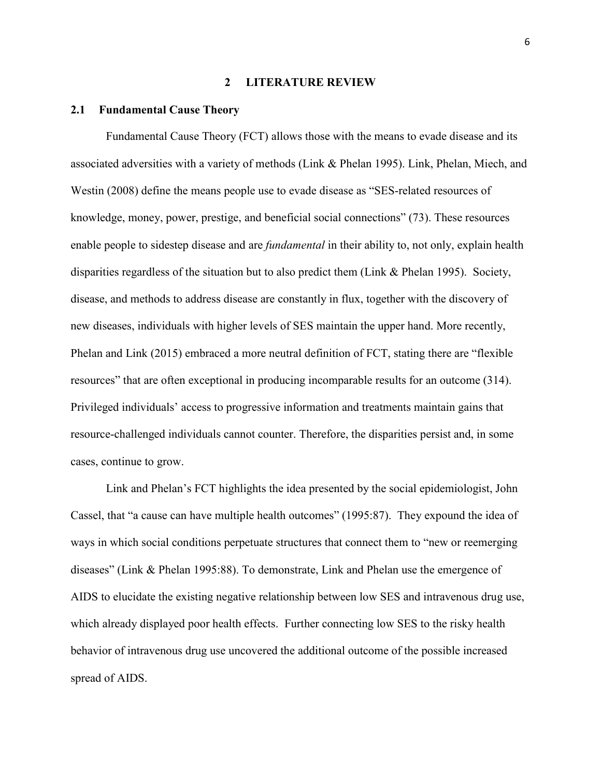#### **2 LITERATURE REVIEW**

#### <span id="page-14-1"></span><span id="page-14-0"></span>**2.1 Fundamental Cause Theory**

Fundamental Cause Theory (FCT) allows those with the means to evade disease and its associated adversities with a variety of methods (Link & Phelan 1995). Link, Phelan, Miech, and Westin (2008) define the means people use to evade disease as "SES-related resources of knowledge, money, power, prestige, and beneficial social connections" (73). These resources enable people to sidestep disease and are *fundamental* in their ability to, not only, explain health disparities regardless of the situation but to also predict them (Link & Phelan 1995). Society, disease, and methods to address disease are constantly in flux, together with the discovery of new diseases, individuals with higher levels of SES maintain the upper hand. More recently, Phelan and Link (2015) embraced a more neutral definition of FCT, stating there are "flexible resources" that are often exceptional in producing incomparable results for an outcome (314). Privileged individuals' access to progressive information and treatments maintain gains that resource-challenged individuals cannot counter. Therefore, the disparities persist and, in some cases, continue to grow.

Link and Phelan's FCT highlights the idea presented by the social epidemiologist, John Cassel, that "a cause can have multiple health outcomes" (1995:87). They expound the idea of ways in which social conditions perpetuate structures that connect them to "new or reemerging diseases" (Link & Phelan 1995:88). To demonstrate, Link and Phelan use the emergence of AIDS to elucidate the existing negative relationship between low SES and intravenous drug use, which already displayed poor health effects. Further connecting low SES to the risky health behavior of intravenous drug use uncovered the additional outcome of the possible increased spread of AIDS.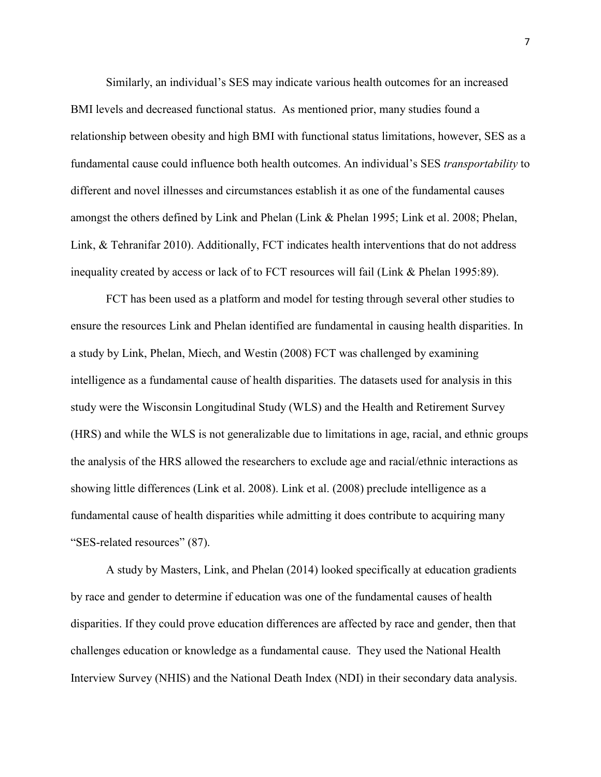Similarly, an individual's SES may indicate various health outcomes for an increased BMI levels and decreased functional status. As mentioned prior, many studies found a relationship between obesity and high BMI with functional status limitations, however, SES as a fundamental cause could influence both health outcomes. An individual's SES *transportability* to different and novel illnesses and circumstances establish it as one of the fundamental causes amongst the others defined by Link and Phelan (Link & Phelan 1995; Link et al. 2008; Phelan, Link, & Tehranifar 2010). Additionally, FCT indicates health interventions that do not address inequality created by access or lack of to FCT resources will fail (Link & Phelan 1995:89).

FCT has been used as a platform and model for testing through several other studies to ensure the resources Link and Phelan identified are fundamental in causing health disparities. In a study by Link, Phelan, Miech, and Westin (2008) FCT was challenged by examining intelligence as a fundamental cause of health disparities. The datasets used for analysis in this study were the Wisconsin Longitudinal Study (WLS) and the Health and Retirement Survey (HRS) and while the WLS is not generalizable due to limitations in age, racial, and ethnic groups the analysis of the HRS allowed the researchers to exclude age and racial/ethnic interactions as showing little differences (Link et al. 2008). Link et al. (2008) preclude intelligence as a fundamental cause of health disparities while admitting it does contribute to acquiring many "SES-related resources" (87).

A study by Masters, Link, and Phelan (2014) looked specifically at education gradients by race and gender to determine if education was one of the fundamental causes of health disparities. If they could prove education differences are affected by race and gender, then that challenges education or knowledge as a fundamental cause. They used the National Health Interview Survey (NHIS) and the National Death Index (NDI) in their secondary data analysis.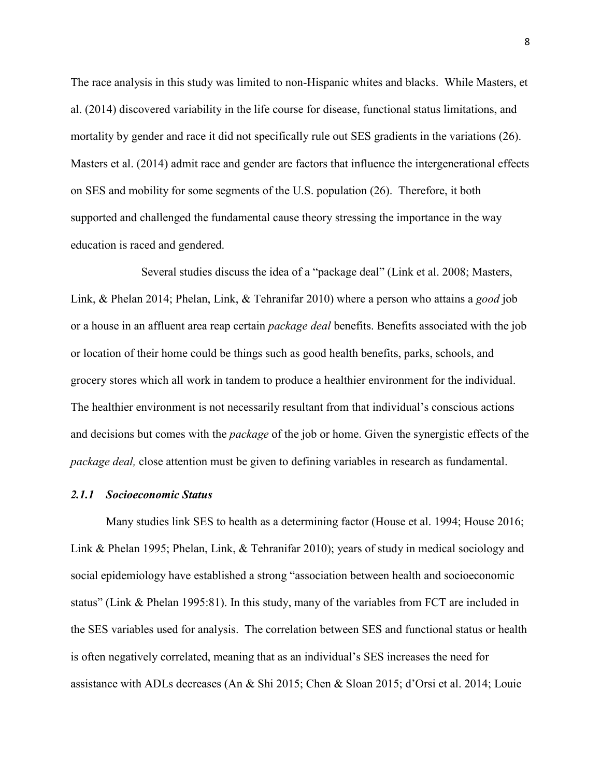The race analysis in this study was limited to non-Hispanic whites and blacks. While Masters, et al. (2014) discovered variability in the life course for disease, functional status limitations, and mortality by gender and race it did not specifically rule out SES gradients in the variations (26). Masters et al. (2014) admit race and gender are factors that influence the intergenerational effects on SES and mobility for some segments of the U.S. population (26). Therefore, it both supported and challenged the fundamental cause theory stressing the importance in the way education is raced and gendered.

Several studies discuss the idea of a "package deal" (Link et al. 2008; Masters, Link, & Phelan 2014; Phelan, Link, & Tehranifar 2010) where a person who attains a *good* job or a house in an affluent area reap certain *package deal* benefits. Benefits associated with the job or location of their home could be things such as good health benefits, parks, schools, and grocery stores which all work in tandem to produce a healthier environment for the individual. The healthier environment is not necessarily resultant from that individual's conscious actions and decisions but comes with the *package* of the job or home. Given the synergistic effects of the *package deal,* close attention must be given to defining variables in research as fundamental.

#### <span id="page-16-0"></span>*2.1.1 Socioeconomic Status*

Many studies link SES to health as a determining factor (House et al. 1994; House 2016; Link & Phelan 1995; Phelan, Link, & Tehranifar 2010); years of study in medical sociology and social epidemiology have established a strong "association between health and socioeconomic status" (Link & Phelan 1995:81). In this study, many of the variables from FCT are included in the SES variables used for analysis. The correlation between SES and functional status or health is often negatively correlated, meaning that as an individual's SES increases the need for assistance with ADLs decreases (An & Shi 2015; Chen & Sloan 2015; d'Orsi et al. 2014; Louie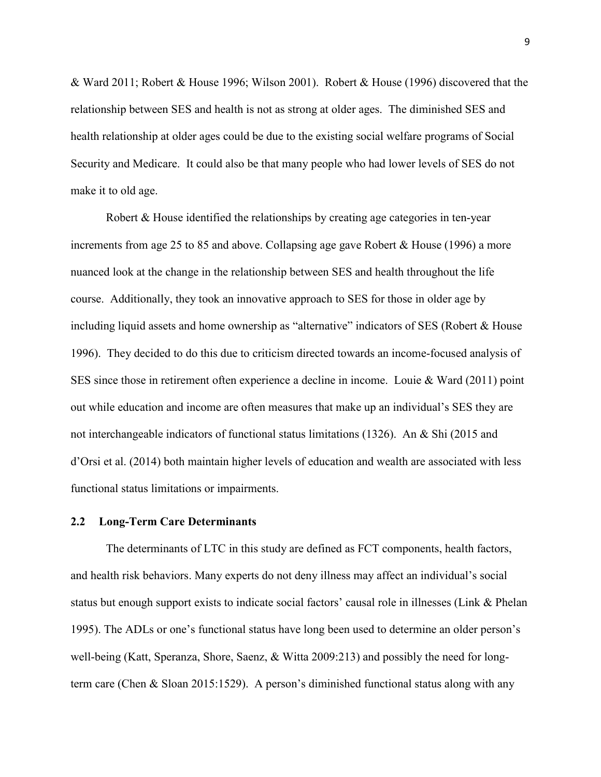& Ward 2011; Robert & House 1996; Wilson 2001). Robert & House (1996) discovered that the relationship between SES and health is not as strong at older ages. The diminished SES and health relationship at older ages could be due to the existing social welfare programs of Social Security and Medicare. It could also be that many people who had lower levels of SES do not make it to old age.

Robert & House identified the relationships by creating age categories in ten-year increments from age 25 to 85 and above. Collapsing age gave Robert & House (1996) a more nuanced look at the change in the relationship between SES and health throughout the life course. Additionally, they took an innovative approach to SES for those in older age by including liquid assets and home ownership as "alternative" indicators of SES (Robert & House 1996). They decided to do this due to criticism directed towards an income-focused analysis of SES since those in retirement often experience a decline in income. Louie & Ward (2011) point out while education and income are often measures that make up an individual's SES they are not interchangeable indicators of functional status limitations (1326). An & Shi (2015 and d'Orsi et al. (2014) both maintain higher levels of education and wealth are associated with less functional status limitations or impairments.

#### <span id="page-17-0"></span>**2.2 Long-Term Care Determinants**

The determinants of LTC in this study are defined as FCT components, health factors, and health risk behaviors. Many experts do not deny illness may affect an individual's social status but enough support exists to indicate social factors' causal role in illnesses (Link & Phelan 1995). The ADLs or one's functional status have long been used to determine an older person's well-being (Katt, Speranza, Shore, Saenz, & Witta 2009:213) and possibly the need for longterm care (Chen & Sloan 2015:1529). A person's diminished functional status along with any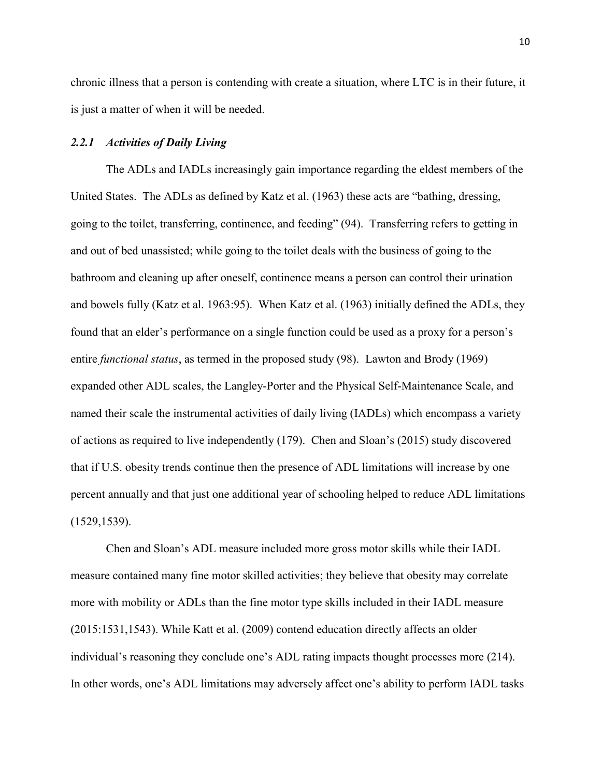chronic illness that a person is contending with create a situation, where LTC is in their future, it is just a matter of when it will be needed.

#### <span id="page-18-0"></span>*2.2.1 Activities of Daily Living*

The ADLs and IADLs increasingly gain importance regarding the eldest members of the United States. The ADLs as defined by Katz et al. (1963) these acts are "bathing, dressing, going to the toilet, transferring, continence, and feeding" (94). Transferring refers to getting in and out of bed unassisted; while going to the toilet deals with the business of going to the bathroom and cleaning up after oneself, continence means a person can control their urination and bowels fully (Katz et al. 1963:95). When Katz et al. (1963) initially defined the ADLs, they found that an elder's performance on a single function could be used as a proxy for a person's entire *functional status*, as termed in the proposed study (98). Lawton and Brody (1969) expanded other ADL scales, the Langley-Porter and the Physical Self-Maintenance Scale, and named their scale the instrumental activities of daily living (IADLs) which encompass a variety of actions as required to live independently (179). Chen and Sloan's (2015) study discovered that if U.S. obesity trends continue then the presence of ADL limitations will increase by one percent annually and that just one additional year of schooling helped to reduce ADL limitations (1529,1539).

Chen and Sloan's ADL measure included more gross motor skills while their IADL measure contained many fine motor skilled activities; they believe that obesity may correlate more with mobility or ADLs than the fine motor type skills included in their IADL measure (2015:1531,1543). While Katt et al. (2009) contend education directly affects an older individual's reasoning they conclude one's ADL rating impacts thought processes more (214). In other words, one's ADL limitations may adversely affect one's ability to perform IADL tasks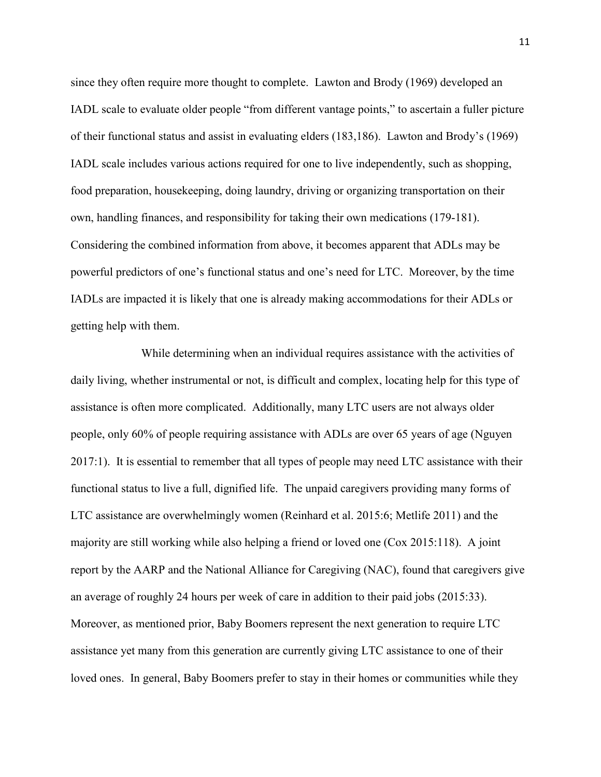since they often require more thought to complete. Lawton and Brody (1969) developed an IADL scale to evaluate older people "from different vantage points," to ascertain a fuller picture of their functional status and assist in evaluating elders (183,186). Lawton and Brody's (1969) IADL scale includes various actions required for one to live independently, such as shopping, food preparation, housekeeping, doing laundry, driving or organizing transportation on their own, handling finances, and responsibility for taking their own medications (179-181). Considering the combined information from above, it becomes apparent that ADLs may be powerful predictors of one's functional status and one's need for LTC. Moreover, by the time IADLs are impacted it is likely that one is already making accommodations for their ADLs or getting help with them.

While determining when an individual requires assistance with the activities of daily living, whether instrumental or not, is difficult and complex, locating help for this type of assistance is often more complicated. Additionally, many LTC users are not always older people, only 60% of people requiring assistance with ADLs are over 65 years of age (Nguyen 2017:1). It is essential to remember that all types of people may need LTC assistance with their functional status to live a full, dignified life. The unpaid caregivers providing many forms of LTC assistance are overwhelmingly women (Reinhard et al. 2015:6; Metlife 2011) and the majority are still working while also helping a friend or loved one (Cox 2015:118). A joint report by the AARP and the National Alliance for Caregiving (NAC), found that caregivers give an average of roughly 24 hours per week of care in addition to their paid jobs (2015:33). Moreover, as mentioned prior, Baby Boomers represent the next generation to require LTC assistance yet many from this generation are currently giving LTC assistance to one of their loved ones. In general, Baby Boomers prefer to stay in their homes or communities while they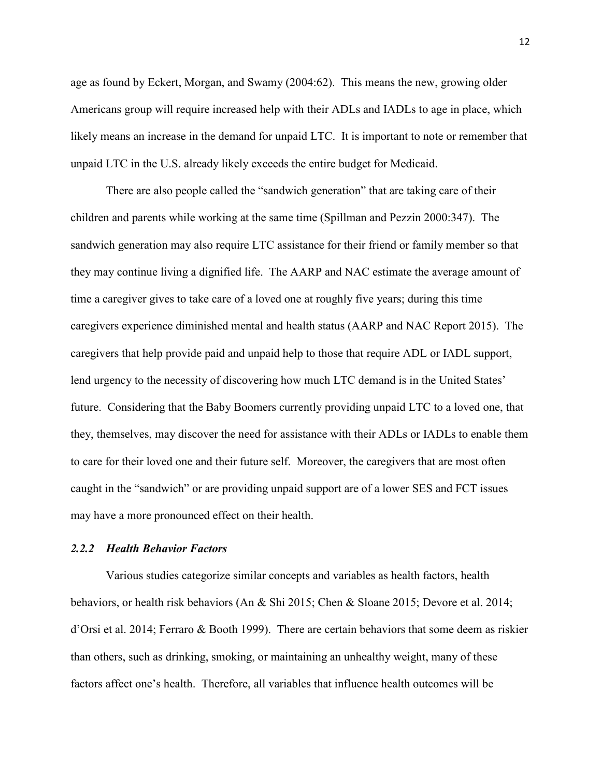age as found by Eckert, Morgan, and Swamy (2004:62). This means the new, growing older Americans group will require increased help with their ADLs and IADLs to age in place, which likely means an increase in the demand for unpaid LTC. It is important to note or remember that unpaid LTC in the U.S. already likely exceeds the entire budget for Medicaid.

There are also people called the "sandwich generation" that are taking care of their children and parents while working at the same time (Spillman and Pezzin 2000:347). The sandwich generation may also require LTC assistance for their friend or family member so that they may continue living a dignified life. The AARP and NAC estimate the average amount of time a caregiver gives to take care of a loved one at roughly five years; during this time caregivers experience diminished mental and health status (AARP and NAC Report 2015). The caregivers that help provide paid and unpaid help to those that require ADL or IADL support, lend urgency to the necessity of discovering how much LTC demand is in the United States' future. Considering that the Baby Boomers currently providing unpaid LTC to a loved one, that they, themselves, may discover the need for assistance with their ADLs or IADLs to enable them to care for their loved one and their future self. Moreover, the caregivers that are most often caught in the "sandwich" or are providing unpaid support are of a lower SES and FCT issues may have a more pronounced effect on their health.

#### <span id="page-20-0"></span>*2.2.2 Health Behavior Factors*

Various studies categorize similar concepts and variables as health factors, health behaviors, or health risk behaviors (An & Shi 2015; Chen & Sloane 2015; Devore et al. 2014; d'Orsi et al. 2014; Ferraro & Booth 1999). There are certain behaviors that some deem as riskier than others, such as drinking, smoking, or maintaining an unhealthy weight, many of these factors affect one's health. Therefore, all variables that influence health outcomes will be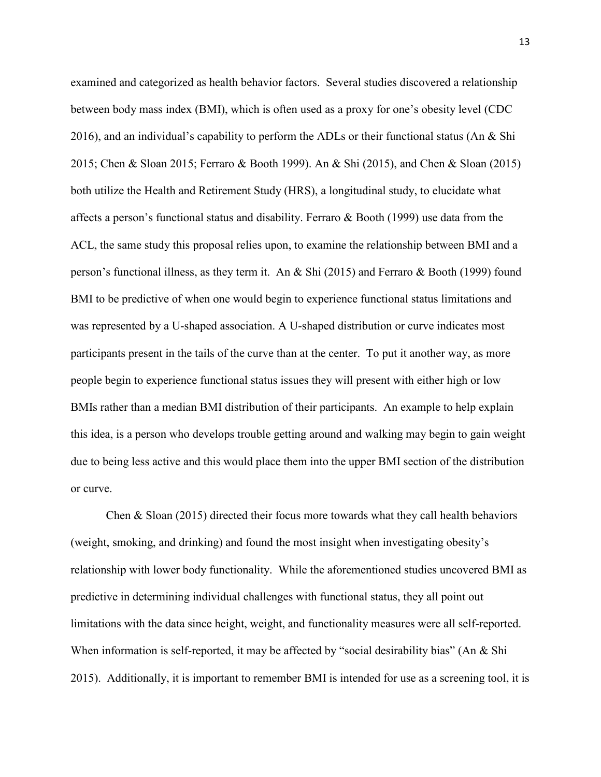examined and categorized as health behavior factors. Several studies discovered a relationship between body mass index (BMI), which is often used as a proxy for one's obesity level (CDC 2016), and an individual's capability to perform the ADLs or their functional status (An & Shi 2015; Chen & Sloan 2015; Ferraro & Booth 1999). An & Shi (2015), and Chen & Sloan (2015) both utilize the Health and Retirement Study (HRS), a longitudinal study, to elucidate what affects a person's functional status and disability. Ferraro & Booth (1999) use data from the ACL, the same study this proposal relies upon, to examine the relationship between BMI and a person's functional illness, as they term it. An & Shi (2015) and Ferraro & Booth (1999) found BMI to be predictive of when one would begin to experience functional status limitations and was represented by a U-shaped association. A U-shaped distribution or curve indicates most participants present in the tails of the curve than at the center. To put it another way, as more people begin to experience functional status issues they will present with either high or low BMIs rather than a median BMI distribution of their participants. An example to help explain this idea, is a person who develops trouble getting around and walking may begin to gain weight due to being less active and this would place them into the upper BMI section of the distribution or curve.

Chen & Sloan (2015) directed their focus more towards what they call health behaviors (weight, smoking, and drinking) and found the most insight when investigating obesity's relationship with lower body functionality. While the aforementioned studies uncovered BMI as predictive in determining individual challenges with functional status, they all point out limitations with the data since height, weight, and functionality measures were all self-reported. When information is self-reported, it may be affected by "social desirability bias" (An & Shi 2015). Additionally, it is important to remember BMI is intended for use as a screening tool, it is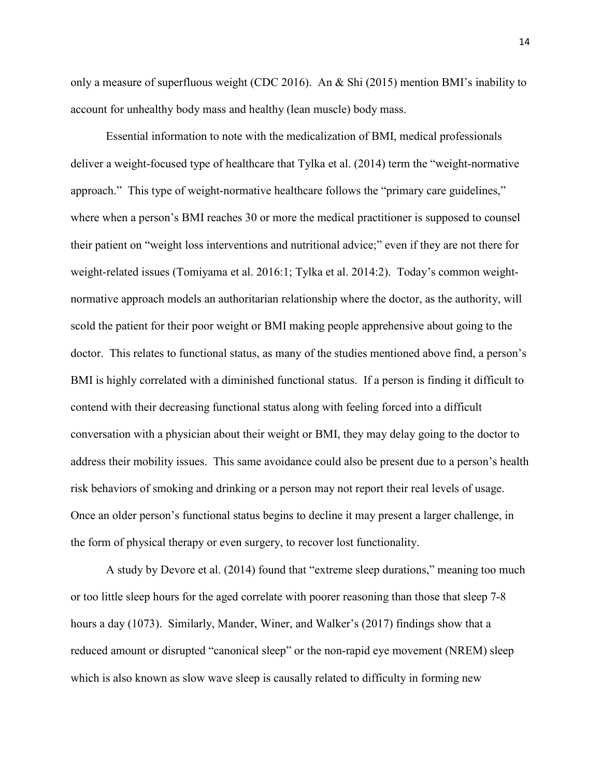only a measure of superfluous weight (CDC 2016). An & Shi (2015) mention BMI's inability to account for unhealthy body mass and healthy (lean muscle) body mass.

Essential information to note with the medicalization of BMI, medical professionals deliver a weight-focused type of healthcare that Tylka et al. (2014) term the "weight-normative" approach." This type of weight-normative healthcare follows the "primary care guidelines," where when a person's BMI reaches 30 or more the medical practitioner is supposed to counsel their patient on "weight loss interventions and nutritional advice;" even if they are not there for weight-related issues (Tomiyama et al. 2016:1; Tylka et al. 2014:2). Today's common weightnormative approach models an authoritarian relationship where the doctor, as the authority, will scold the patient for their poor weight or BMI making people apprehensive about going to the doctor. This relates to functional status, as many of the studies mentioned above find, a person's BMI is highly correlated with a diminished functional status. If a person is finding it difficult to contend with their decreasing functional status along with feeling forced into a difficult conversation with a physician about their weight or BMI, they may delay going to the doctor to address their mobility issues. This same avoidance could also be present due to a person's health risk behaviors of smoking and drinking or a person may not report their real levels of usage. Once an older person's functional status begins to decline it may present a larger challenge, in the form of physical therapy or even surgery, to recover lost functionality.

A study by Devore et al. (2014) found that "extreme sleep durations," meaning too much or too little sleep hours for the aged correlate with poorer reasoning than those that sleep 7-8 hours a day (1073). Similarly, Mander, Winer, and Walker's (2017) findings show that a reduced amount or disrupted "canonical sleep" or the non-rapid eye movement (NREM) sleep which is also known as slow wave sleep is causally related to difficulty in forming new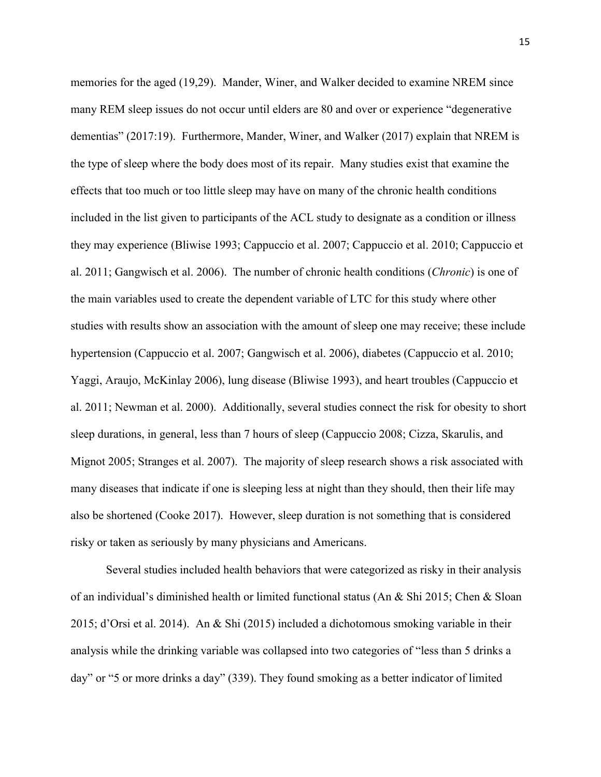memories for the aged (19,29). Mander, Winer, and Walker decided to examine NREM since many REM sleep issues do not occur until elders are 80 and over or experience "degenerative dementias" (2017:19). Furthermore, Mander, Winer, and Walker (2017) explain that NREM is the type of sleep where the body does most of its repair. Many studies exist that examine the effects that too much or too little sleep may have on many of the chronic health conditions included in the list given to participants of the ACL study to designate as a condition or illness they may experience (Bliwise 1993; Cappuccio et al. 2007; Cappuccio et al. 2010; Cappuccio et al. 2011; Gangwisch et al. 2006). The number of chronic health conditions (*Chronic*) is one of the main variables used to create the dependent variable of LTC for this study where other studies with results show an association with the amount of sleep one may receive; these include hypertension (Cappuccio et al. 2007; Gangwisch et al. 2006), diabetes (Cappuccio et al. 2010; Yaggi, Araujo, McKinlay 2006), lung disease (Bliwise 1993), and heart troubles (Cappuccio et al. 2011; Newman et al. 2000). Additionally, several studies connect the risk for obesity to short sleep durations, in general, less than 7 hours of sleep (Cappuccio 2008; Cizza, Skarulis, and Mignot 2005; Stranges et al. 2007). The majority of sleep research shows a risk associated with many diseases that indicate if one is sleeping less at night than they should, then their life may also be shortened (Cooke 2017). However, sleep duration is not something that is considered risky or taken as seriously by many physicians and Americans.

Several studies included health behaviors that were categorized as risky in their analysis of an individual's diminished health or limited functional status (An & Shi 2015; Chen & Sloan 2015; d'Orsi et al. 2014). An & Shi (2015) included a dichotomous smoking variable in their analysis while the drinking variable was collapsed into two categories of "less than 5 drinks a day" or "5 or more drinks a day" (339). They found smoking as a better indicator of limited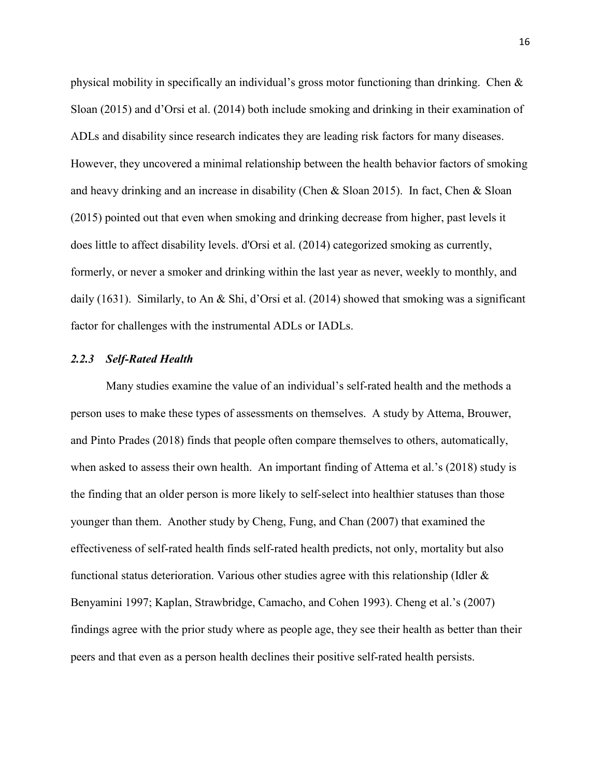physical mobility in specifically an individual's gross motor functioning than drinking. Chen  $\&$ Sloan (2015) and d'Orsi et al. (2014) both include smoking and drinking in their examination of ADLs and disability since research indicates they are leading risk factors for many diseases. However, they uncovered a minimal relationship between the health behavior factors of smoking and heavy drinking and an increase in disability (Chen & Sloan 2015). In fact, Chen & Sloan (2015) pointed out that even when smoking and drinking decrease from higher, past levels it does little to affect disability levels. d'Orsi et al. (2014) categorized smoking as currently, formerly, or never a smoker and drinking within the last year as never, weekly to monthly, and daily (1631). Similarly, to An & Shi, d'Orsi et al. (2014) showed that smoking was a significant factor for challenges with the instrumental ADLs or IADLs.

#### <span id="page-24-0"></span>*2.2.3 Self-Rated Health*

Many studies examine the value of an individual's self-rated health and the methods a person uses to make these types of assessments on themselves. A study by Attema, Brouwer, and Pinto Prades (2018) finds that people often compare themselves to others, automatically, when asked to assess their own health. An important finding of Attema et al.'s (2018) study is the finding that an older person is more likely to self-select into healthier statuses than those younger than them. Another study by Cheng, Fung, and Chan (2007) that examined the effectiveness of self-rated health finds self-rated health predicts, not only, mortality but also functional status deterioration. Various other studies agree with this relationship (Idler & Benyamini 1997; Kaplan, Strawbridge, Camacho, and Cohen 1993). Cheng et al.'s (2007) findings agree with the prior study where as people age, they see their health as better than their peers and that even as a person health declines their positive self-rated health persists.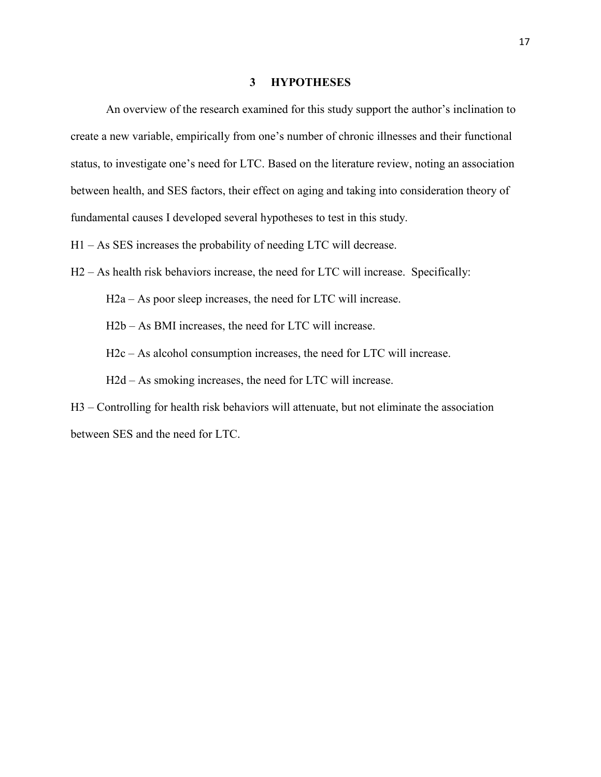#### **3 HYPOTHESES**

<span id="page-25-0"></span>An overview of the research examined for this study support the author's inclination to create a new variable, empirically from one's number of chronic illnesses and their functional status, to investigate one's need for LTC. Based on the literature review, noting an association between health, and SES factors, their effect on aging and taking into consideration theory of fundamental causes I developed several hypotheses to test in this study.

H1 – As SES increases the probability of needing LTC will decrease.

H2 – As health risk behaviors increase, the need for LTC will increase. Specifically:

H2a – As poor sleep increases, the need for LTC will increase.

H2b – As BMI increases, the need for LTC will increase.

H2c – As alcohol consumption increases, the need for LTC will increase.

H2d – As smoking increases, the need for LTC will increase.

H3 – Controlling for health risk behaviors will attenuate, but not eliminate the association between SES and the need for LTC.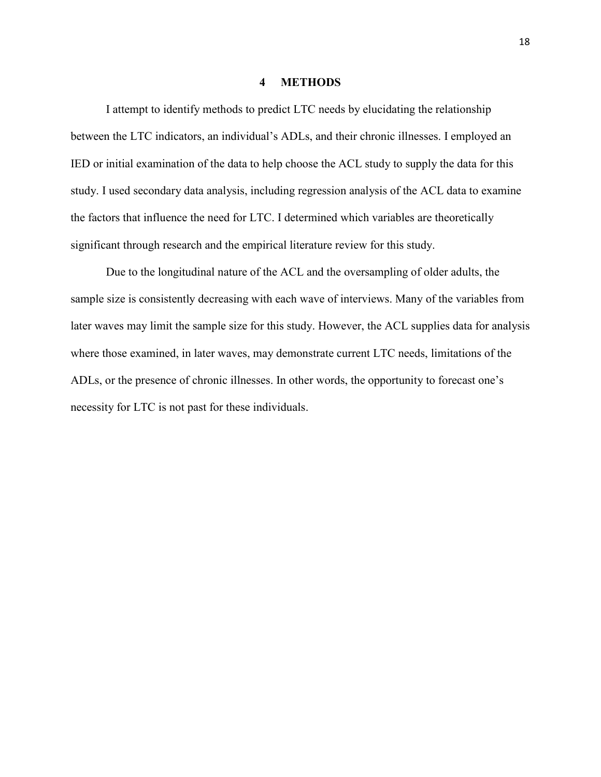#### **4 METHODS**

<span id="page-26-0"></span>I attempt to identify methods to predict LTC needs by elucidating the relationship between the LTC indicators, an individual's ADLs, and their chronic illnesses. I employed an IED or initial examination of the data to help choose the ACL study to supply the data for this study. I used secondary data analysis, including regression analysis of the ACL data to examine the factors that influence the need for LTC. I determined which variables are theoretically significant through research and the empirical literature review for this study.

Due to the longitudinal nature of the ACL and the oversampling of older adults, the sample size is consistently decreasing with each wave of interviews. Many of the variables from later waves may limit the sample size for this study. However, the ACL supplies data for analysis where those examined, in later waves, may demonstrate current LTC needs, limitations of the ADLs, or the presence of chronic illnesses. In other words, the opportunity to forecast one's necessity for LTC is not past for these individuals.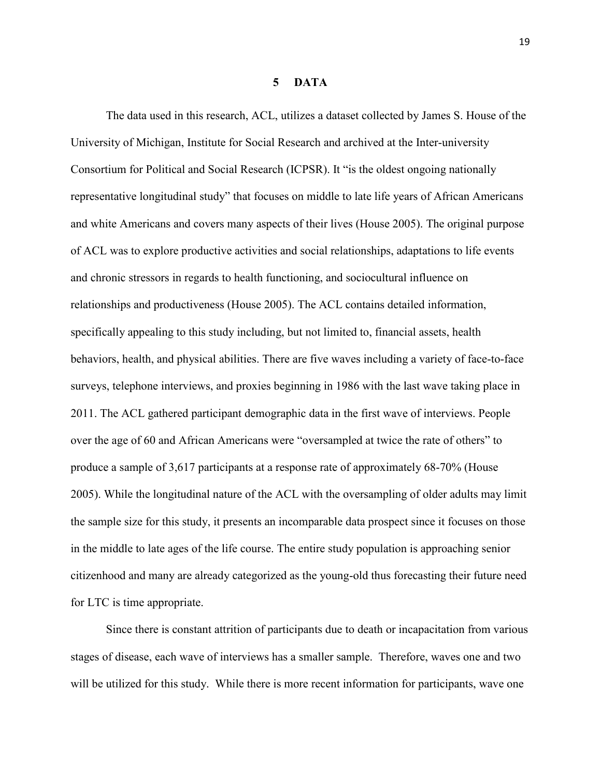#### **5 DATA**

<span id="page-27-0"></span>The data used in this research, ACL, utilizes a dataset collected by James S. House of the University of Michigan, Institute for Social Research and archived at the Inter-university Consortium for Political and Social Research (ICPSR). It "is the oldest ongoing nationally representative longitudinal study" that focuses on middle to late life years of African Americans and white Americans and covers many aspects of their lives (House 2005). The original purpose of ACL was to explore productive activities and social relationships, adaptations to life events and chronic stressors in regards to health functioning, and sociocultural influence on relationships and productiveness (House 2005). The ACL contains detailed information, specifically appealing to this study including, but not limited to, financial assets, health behaviors, health, and physical abilities. There are five waves including a variety of face-to-face surveys, telephone interviews, and proxies beginning in 1986 with the last wave taking place in 2011. The ACL gathered participant demographic data in the first wave of interviews. People over the age of 60 and African Americans were "oversampled at twice the rate of others" to produce a sample of 3,617 participants at a response rate of approximately 68-70% (House 2005). While the longitudinal nature of the ACL with the oversampling of older adults may limit the sample size for this study, it presents an incomparable data prospect since it focuses on those in the middle to late ages of the life course. The entire study population is approaching senior citizenhood and many are already categorized as the young-old thus forecasting their future need for LTC is time appropriate.

Since there is constant attrition of participants due to death or incapacitation from various stages of disease, each wave of interviews has a smaller sample. Therefore, waves one and two will be utilized for this study. While there is more recent information for participants, wave one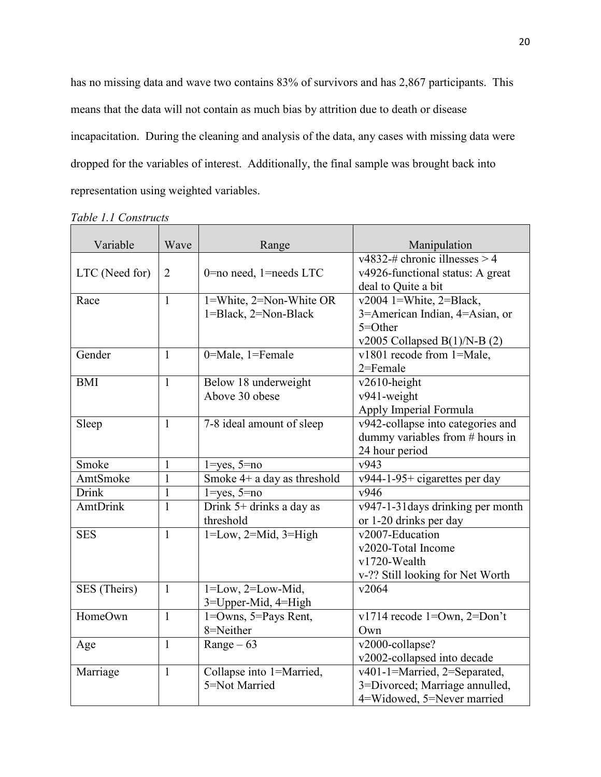has no missing data and wave two contains 83% of survivors and has 2,867 participants. This means that the data will not contain as much bias by attrition due to death or disease incapacitation. During the cleaning and analysis of the data, any cases with missing data were dropped for the variables of interest. Additionally, the final sample was brought back into representation using weighted variables.

| Variable        | Wave           | Range                         | Manipulation                          |
|-----------------|----------------|-------------------------------|---------------------------------------|
|                 |                |                               | $\sqrt{4832}$ + chronic illnesses > 4 |
| LTC (Need for)  | $\overline{2}$ | 0=no need, 1=needs LTC        | v4926-functional status: A great      |
|                 |                |                               | deal to Quite a bit                   |
| Race            | $\mathbf{1}$   | 1=White, 2=Non-White OR       | $v2004$ 1=White, 2=Black,             |
|                 |                | 1=Black, 2=Non-Black          | 3=American Indian, 4=Asian, or        |
|                 |                |                               | 5=Other                               |
|                 |                |                               | v2005 Collapsed $B(1)/N-B(2)$         |
| Gender          | $\mathbf{1}$   | 0=Male, 1=Female              | v1801 recode from 1=Male,             |
|                 |                |                               | $2 =$ Female                          |
| <b>BMI</b>      | $\mathbf{1}$   | Below 18 underweight          | v2610-height                          |
|                 |                | Above 30 obese                | v941-weight                           |
|                 |                |                               | Apply Imperial Formula                |
| Sleep           | $\mathbf{1}$   | 7-8 ideal amount of sleep     | v942-collapse into categories and     |
|                 |                |                               | dummy variables from # hours in       |
|                 |                |                               | 24 hour period                        |
| Smoke           | $\mathbf{1}$   | $1 = yes, 5 = no$             | v943                                  |
| AmtSmoke        | 1              | Smoke $4+$ a day as threshold | $v944-1-95+$ cigarettes per day       |
| Drink           | $\mathbf{1}$   | $1 = yes, 5 = no$             | v946                                  |
| <b>AmtDrink</b> | $\mathbf{1}$   | Drink 5+ drinks a day as      | v947-1-31 days drinking per month     |
|                 |                | threshold                     | or 1-20 drinks per day                |
| <b>SES</b>      | $\mathbf{1}$   | $1 = Low, 2 = Mid, 3 = High$  | v2007-Education                       |
|                 |                |                               | v2020-Total Income                    |
|                 |                |                               | v1720-Wealth                          |
|                 |                |                               | v-?? Still looking for Net Worth      |
| SES (Theirs)    | $\mathbf{1}$   | $1 = Low, 2 = Low - Mid,$     | v2064                                 |
|                 |                | 3=Upper-Mid, 4=High           |                                       |
| HomeOwn         | $\mathbf{1}$   | $1 = Owns$ , $5 = Pays$ Rent, | v1714 recode 1=Own, 2=Don't           |
|                 |                | 8=Neither                     | Own                                   |
| Age             | $\mathbf{1}$   | Range $-63$                   | v2000-collapse?                       |
|                 |                |                               | v2002-collapsed into decade           |
| Marriage        | $\mathbf{1}$   | Collapse into 1=Married,      | v401-1=Married, 2=Separated,          |
|                 |                | 5=Not Married                 | 3=Divorced; Marriage annulled,        |
|                 |                |                               | 4=Widowed, 5=Never married            |

<span id="page-28-0"></span>*Table 1.1 Constructs*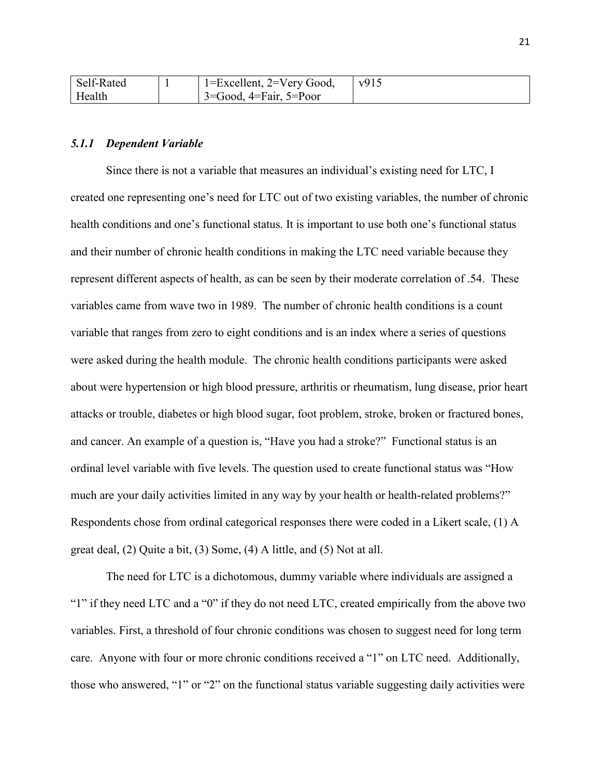| Self-Rated | 1=Excellent, 2=Very Good,            | v915 |
|------------|--------------------------------------|------|
| Health     | $3 = Good$ , $4 = Fair$ , $5 = Poor$ |      |

#### <span id="page-29-0"></span>*5.1.1 Dependent Variable*

Since there is not a variable that measures an individual's existing need for LTC, I created one representing one's need for LTC out of two existing variables, the number of chronic health conditions and one's functional status. It is important to use both one's functional status and their number of chronic health conditions in making the LTC need variable because they represent different aspects of health, as can be seen by their moderate correlation of .54. These variables came from wave two in 1989. The number of chronic health conditions is a count variable that ranges from zero to eight conditions and is an index where a series of questions were asked during the health module. The chronic health conditions participants were asked about were hypertension or high blood pressure, arthritis or rheumatism, lung disease, prior heart attacks or trouble, diabetes or high blood sugar, foot problem, stroke, broken or fractured bones, and cancer. An example of a question is, "Have you had a stroke?" Functional status is an ordinal level variable with five levels. The question used to create functional status was "How much are your daily activities limited in any way by your health or health-related problems?" Respondents chose from ordinal categorical responses there were coded in a Likert scale, (1) A great deal, (2) Quite a bit, (3) Some, (4) A little, and (5) Not at all.

The need for LTC is a dichotomous, dummy variable where individuals are assigned a "1" if they need LTC and a "0" if they do not need LTC, created empirically from the above two variables. First, a threshold of four chronic conditions was chosen to suggest need for long term care. Anyone with four or more chronic conditions received a "1" on LTC need. Additionally, those who answered, "1" or "2" on the functional status variable suggesting daily activities were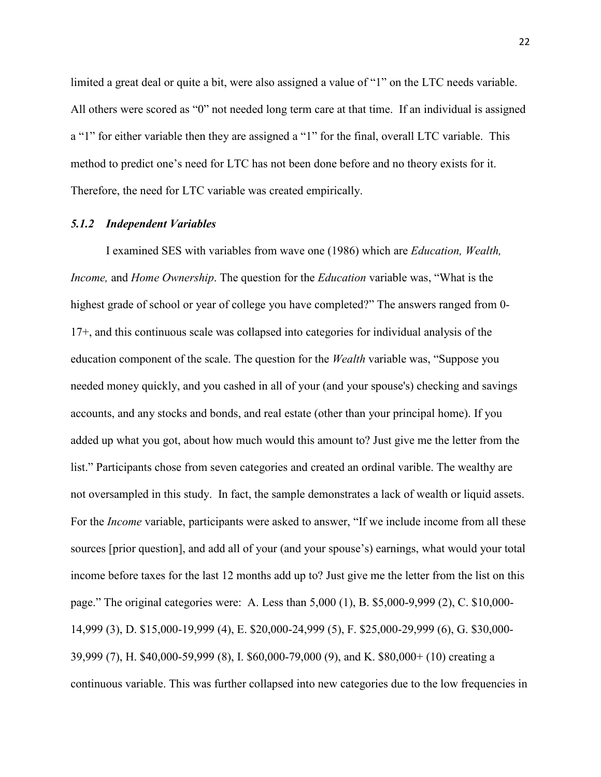limited a great deal or quite a bit, were also assigned a value of "1" on the LTC needs variable. All others were scored as "0" not needed long term care at that time. If an individual is assigned a "1" for either variable then they are assigned a "1" for the final, overall LTC variable. This method to predict one's need for LTC has not been done before and no theory exists for it. Therefore, the need for LTC variable was created empirically.

#### <span id="page-30-0"></span>*5.1.2 Independent Variables*

I examined SES with variables from wave one (1986) which are *Education, Wealth, Income,* and *Home Ownership*. The question for the *Education* variable was, "What is the highest grade of school or year of college you have completed?" The answers ranged from 0- 17+, and this continuous scale was collapsed into categories for individual analysis of the education component of the scale. The question for the *Wealth* variable was, "Suppose you needed money quickly, and you cashed in all of your (and your spouse's) checking and savings accounts, and any stocks and bonds, and real estate (other than your principal home). If you added up what you got, about how much would this amount to? Just give me the letter from the list." Participants chose from seven categories and created an ordinal varible. The wealthy are not oversampled in this study. In fact, the sample demonstrates a lack of wealth or liquid assets. For the *Income* variable, participants were asked to answer, "If we include income from all these sources [prior question], and add all of your (and your spouse's) earnings, what would your total income before taxes for the last 12 months add up to? Just give me the letter from the list on this page." The original categories were: A. Less than 5,000 (1), B. \$5,000-9,999 (2), C. \$10,000- 14,999 (3), D. \$15,000-19,999 (4), E. \$20,000-24,999 (5), F. \$25,000-29,999 (6), G. \$30,000- 39,999 (7), H. \$40,000-59,999 (8), I. \$60,000-79,000 (9), and K. \$80,000+ (10) creating a continuous variable. This was further collapsed into new categories due to the low frequencies in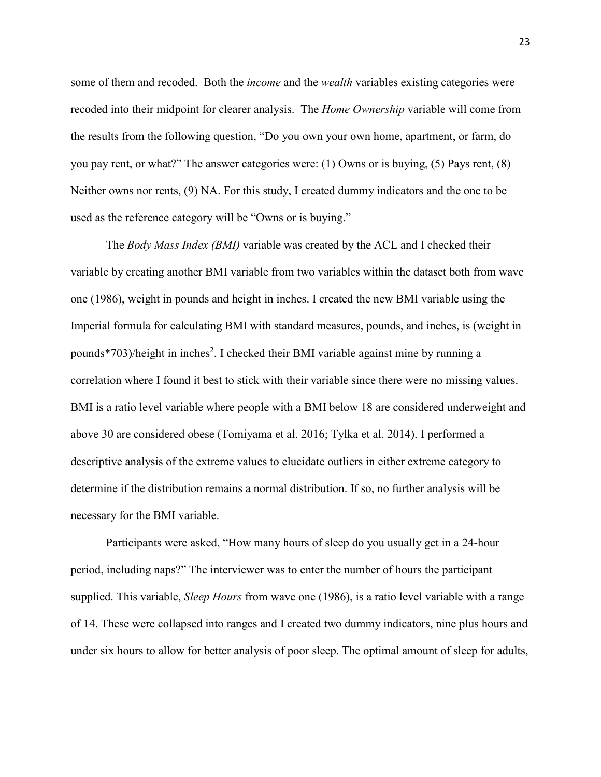some of them and recoded. Both the *income* and the *wealth* variables existing categories were recoded into their midpoint for clearer analysis. The *Home Ownership* variable will come from the results from the following question, "Do you own your own home, apartment, or farm, do you pay rent, or what?" The answer categories were: (1) Owns or is buying, (5) Pays rent, (8) Neither owns nor rents, (9) NA. For this study, I created dummy indicators and the one to be used as the reference category will be "Owns or is buying."

The *Body Mass Index (BMI)* variable was created by the ACL and I checked their variable by creating another BMI variable from two variables within the dataset both from wave one (1986), weight in pounds and height in inches. I created the new BMI variable using the Imperial formula for calculating BMI with standard measures, pounds, and inches, is (weight in pounds\*703)/height in inches<sup>2</sup>. I checked their BMI variable against mine by running a correlation where I found it best to stick with their variable since there were no missing values. BMI is a ratio level variable where people with a BMI below 18 are considered underweight and above 30 are considered obese (Tomiyama et al. 2016; Tylka et al. 2014). I performed a descriptive analysis of the extreme values to elucidate outliers in either extreme category to determine if the distribution remains a normal distribution. If so, no further analysis will be necessary for the BMI variable.

Participants were asked, "How many hours of sleep do you usually get in a 24-hour period, including naps?" The interviewer was to enter the number of hours the participant supplied. This variable, *Sleep Hours* from wave one (1986), is a ratio level variable with a range of 14. These were collapsed into ranges and I created two dummy indicators, nine plus hours and under six hours to allow for better analysis of poor sleep. The optimal amount of sleep for adults,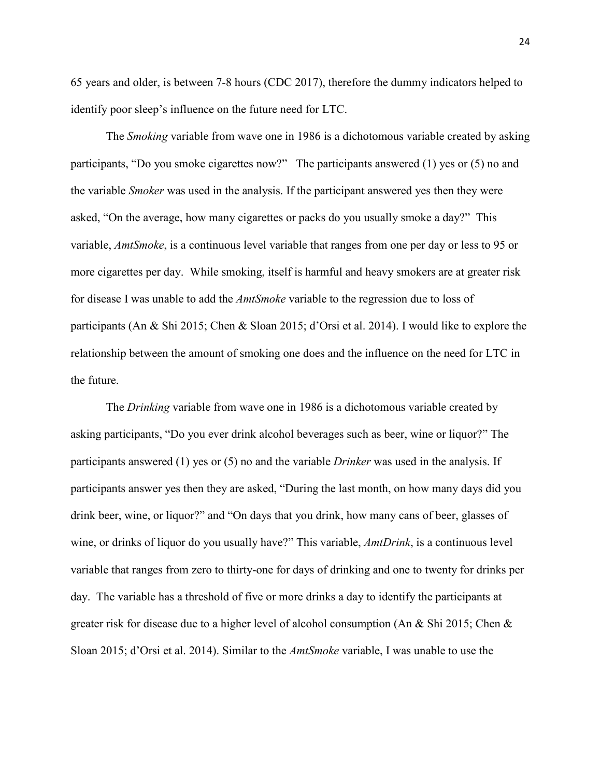65 years and older, is between 7-8 hours (CDC 2017), therefore the dummy indicators helped to identify poor sleep's influence on the future need for LTC.

The *Smoking* variable from wave one in 1986 is a dichotomous variable created by asking participants, "Do you smoke cigarettes now?" The participants answered (1) yes or (5) no and the variable *Smoker* was used in the analysis. If the participant answered yes then they were asked, "On the average, how many cigarettes or packs do you usually smoke a day?" This variable, *AmtSmoke*, is a continuous level variable that ranges from one per day or less to 95 or more cigarettes per day. While smoking, itself is harmful and heavy smokers are at greater risk for disease I was unable to add the *AmtSmoke* variable to the regression due to loss of participants (An & Shi 2015; Chen & Sloan 2015; d'Orsi et al. 2014). I would like to explore the relationship between the amount of smoking one does and the influence on the need for LTC in the future.

The *Drinking* variable from wave one in 1986 is a dichotomous variable created by asking participants, "Do you ever drink alcohol beverages such as beer, wine or liquor?" The participants answered (1) yes or (5) no and the variable *Drinker* was used in the analysis. If participants answer yes then they are asked, "During the last month, on how many days did you drink beer, wine, or liquor?" and "On days that you drink, how many cans of beer, glasses of wine, or drinks of liquor do you usually have?" This variable, *AmtDrink*, is a continuous level variable that ranges from zero to thirty-one for days of drinking and one to twenty for drinks per day. The variable has a threshold of five or more drinks a day to identify the participants at greater risk for disease due to a higher level of alcohol consumption (An & Shi 2015; Chen & Sloan 2015; d'Orsi et al. 2014). Similar to the *AmtSmoke* variable, I was unable to use the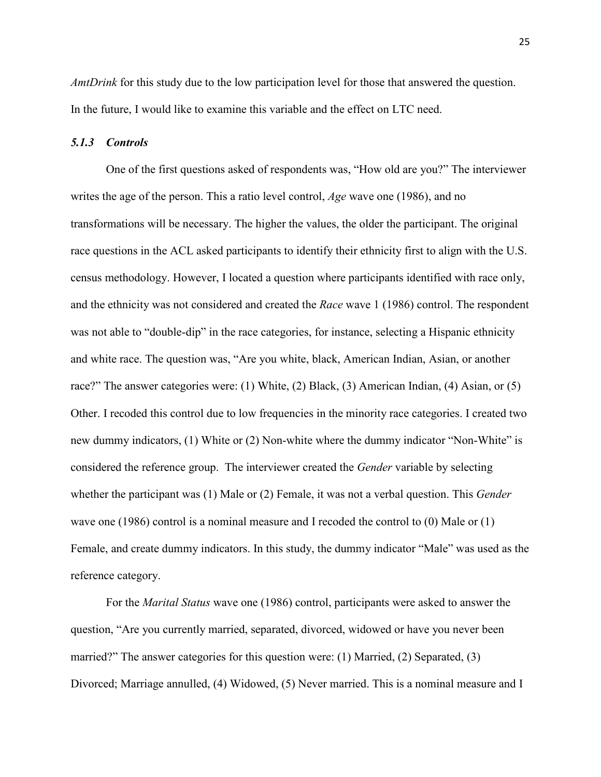*AmtDrink* for this study due to the low participation level for those that answered the question. In the future, I would like to examine this variable and the effect on LTC need.

#### <span id="page-33-0"></span>*5.1.3 Controls*

One of the first questions asked of respondents was, "How old are you?" The interviewer writes the age of the person. This a ratio level control, *Age* wave one (1986), and no transformations will be necessary. The higher the values, the older the participant. The original race questions in the ACL asked participants to identify their ethnicity first to align with the U.S. census methodology. However, I located a question where participants identified with race only, and the ethnicity was not considered and created the *Race* wave 1 (1986) control. The respondent was not able to "double-dip" in the race categories, for instance, selecting a Hispanic ethnicity and white race. The question was, "Are you white, black, American Indian, Asian, or another race?" The answer categories were: (1) White, (2) Black, (3) American Indian, (4) Asian, or (5) Other. I recoded this control due to low frequencies in the minority race categories. I created two new dummy indicators, (1) White or (2) Non-white where the dummy indicator "Non-White" is considered the reference group. The interviewer created the *Gender* variable by selecting whether the participant was (1) Male or (2) Female, it was not a verbal question. This *Gender*  wave one (1986) control is a nominal measure and I recoded the control to (0) Male or (1) Female, and create dummy indicators. In this study, the dummy indicator "Male" was used as the reference category.

For the *Marital Status* wave one (1986) control, participants were asked to answer the question, "Are you currently married, separated, divorced, widowed or have you never been married?" The answer categories for this question were: (1) Married, (2) Separated, (3) Divorced; Marriage annulled, (4) Widowed, (5) Never married. This is a nominal measure and I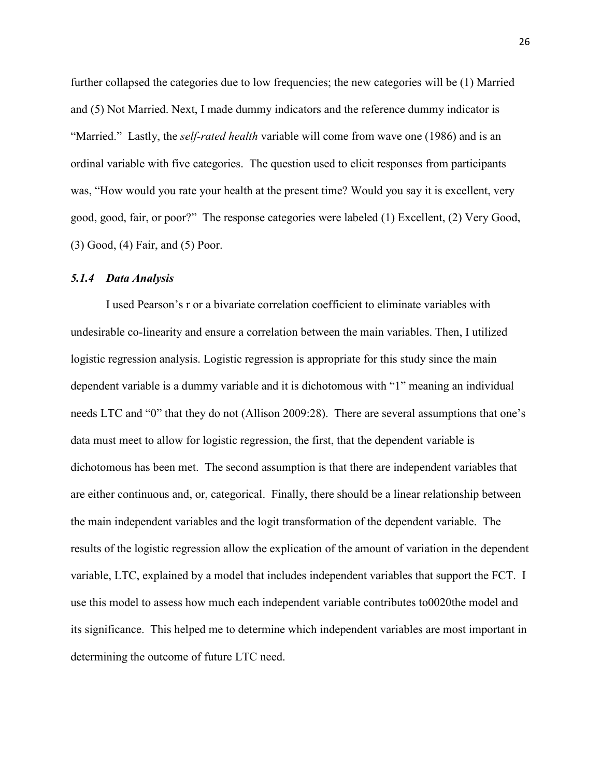further collapsed the categories due to low frequencies; the new categories will be (1) Married and (5) Not Married. Next, I made dummy indicators and the reference dummy indicator is "Married." Lastly, the *self-rated health* variable will come from wave one (1986) and is an ordinal variable with five categories. The question used to elicit responses from participants was, "How would you rate your health at the present time? Would you say it is excellent, very good, good, fair, or poor?" The response categories were labeled (1) Excellent, (2) Very Good, (3) Good, (4) Fair, and (5) Poor.

#### <span id="page-34-0"></span>*5.1.4 Data Analysis*

I used Pearson's r or a bivariate correlation coefficient to eliminate variables with undesirable co-linearity and ensure a correlation between the main variables. Then, I utilized logistic regression analysis. Logistic regression is appropriate for this study since the main dependent variable is a dummy variable and it is dichotomous with "1" meaning an individual needs LTC and "0" that they do not (Allison 2009:28). There are several assumptions that one's data must meet to allow for logistic regression, the first, that the dependent variable is dichotomous has been met. The second assumption is that there are independent variables that are either continuous and, or, categorical. Finally, there should be a linear relationship between the main independent variables and the logit transformation of the dependent variable. The results of the logistic regression allow the explication of the amount of variation in the dependent variable, LTC, explained by a model that includes independent variables that support the FCT. I use this model to assess how much each independent variable contributes to0020the model and its significance. This helped me to determine which independent variables are most important in determining the outcome of future LTC need.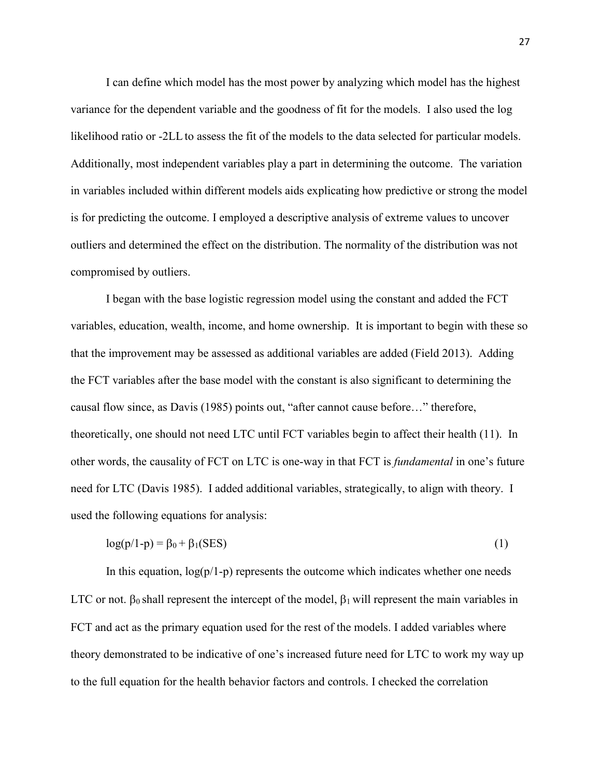I can define which model has the most power by analyzing which model has the highest variance for the dependent variable and the goodness of fit for the models. I also used the log likelihood ratio or -2LL to assess the fit of the models to the data selected for particular models. Additionally, most independent variables play a part in determining the outcome. The variation in variables included within different models aids explicating how predictive or strong the model is for predicting the outcome. I employed a descriptive analysis of extreme values to uncover outliers and determined the effect on the distribution. The normality of the distribution was not compromised by outliers.

I began with the base logistic regression model using the constant and added the FCT variables, education, wealth, income, and home ownership. It is important to begin with these so that the improvement may be assessed as additional variables are added (Field 2013). Adding the FCT variables after the base model with the constant is also significant to determining the causal flow since, as Davis (1985) points out, "after cannot cause before…" therefore, theoretically, one should not need LTC until FCT variables begin to affect their health (11). In other words, the causality of FCT on LTC is one-way in that FCT is *fundamental* in one's future need for LTC (Davis 1985). I added additional variables, strategically, to align with theory. I used the following equations for analysis:

$$
log(p/1-p) = \beta_0 + \beta_1 (SES)
$$
 (1)

In this equation,  $log(p/1-p)$  represents the outcome which indicates whether one needs LTC or not.  $\beta_0$  shall represent the intercept of the model,  $\beta_1$  will represent the main variables in FCT and act as the primary equation used for the rest of the models. I added variables where theory demonstrated to be indicative of one's increased future need for LTC to work my way up to the full equation for the health behavior factors and controls. I checked the correlation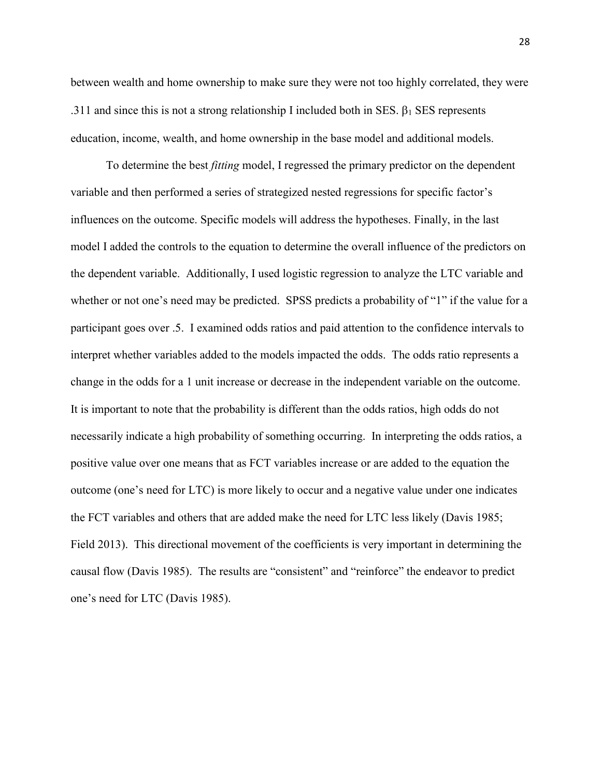between wealth and home ownership to make sure they were not too highly correlated, they were .311 and since this is not a strong relationship I included both in SES.  $β₁$  SES represents education, income, wealth, and home ownership in the base model and additional models.

To determine the best *fitting* model, I regressed the primary predictor on the dependent variable and then performed a series of strategized nested regressions for specific factor's influences on the outcome. Specific models will address the hypotheses. Finally, in the last model I added the controls to the equation to determine the overall influence of the predictors on the dependent variable. Additionally, I used logistic regression to analyze the LTC variable and whether or not one's need may be predicted. SPSS predicts a probability of "1" if the value for a participant goes over .5. I examined odds ratios and paid attention to the confidence intervals to interpret whether variables added to the models impacted the odds. The odds ratio represents a change in the odds for a 1 unit increase or decrease in the independent variable on the outcome. It is important to note that the probability is different than the odds ratios, high odds do not necessarily indicate a high probability of something occurring. In interpreting the odds ratios, a positive value over one means that as FCT variables increase or are added to the equation the outcome (one's need for LTC) is more likely to occur and a negative value under one indicates the FCT variables and others that are added make the need for LTC less likely (Davis 1985; Field 2013). This directional movement of the coefficients is very important in determining the causal flow (Davis 1985). The results are "consistent" and "reinforce" the endeavor to predict one's need for LTC (Davis 1985).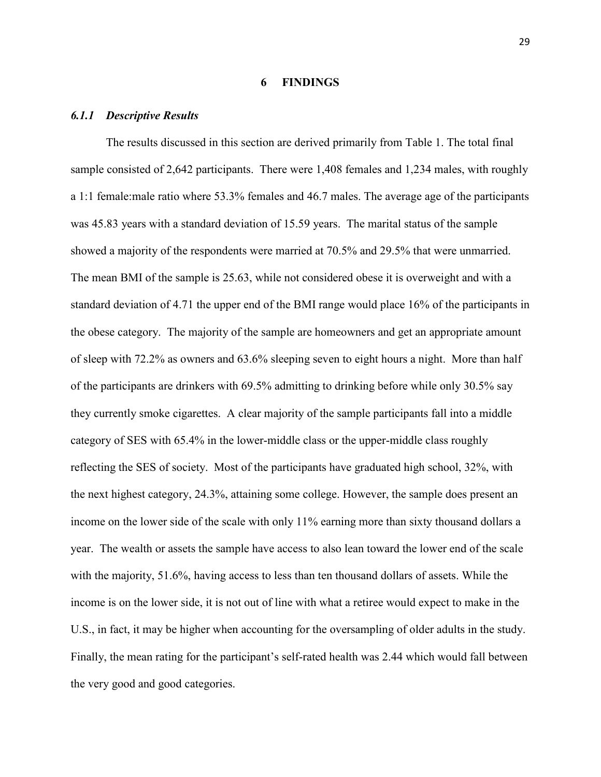#### **6 FINDINGS**

#### <span id="page-37-1"></span><span id="page-37-0"></span>*6.1.1 Descriptive Results*

The results discussed in this section are derived primarily from Table 1. The total final sample consisted of 2,642 participants. There were 1,408 females and 1,234 males, with roughly a 1:1 female:male ratio where 53.3% females and 46.7 males. The average age of the participants was 45.83 years with a standard deviation of 15.59 years. The marital status of the sample showed a majority of the respondents were married at 70.5% and 29.5% that were unmarried. The mean BMI of the sample is 25.63, while not considered obese it is overweight and with a standard deviation of 4.71 the upper end of the BMI range would place 16% of the participants in the obese category. The majority of the sample are homeowners and get an appropriate amount of sleep with 72.2% as owners and 63.6% sleeping seven to eight hours a night. More than half of the participants are drinkers with 69.5% admitting to drinking before while only 30.5% say they currently smoke cigarettes. A clear majority of the sample participants fall into a middle category of SES with 65.4% in the lower-middle class or the upper-middle class roughly reflecting the SES of society. Most of the participants have graduated high school, 32%, with the next highest category, 24.3%, attaining some college. However, the sample does present an income on the lower side of the scale with only 11% earning more than sixty thousand dollars a year. The wealth or assets the sample have access to also lean toward the lower end of the scale with the majority, 51.6%, having access to less than ten thousand dollars of assets. While the income is on the lower side, it is not out of line with what a retiree would expect to make in the U.S., in fact, it may be higher when accounting for the oversampling of older adults in the study. Finally, the mean rating for the participant's self-rated health was 2.44 which would fall between the very good and good categories.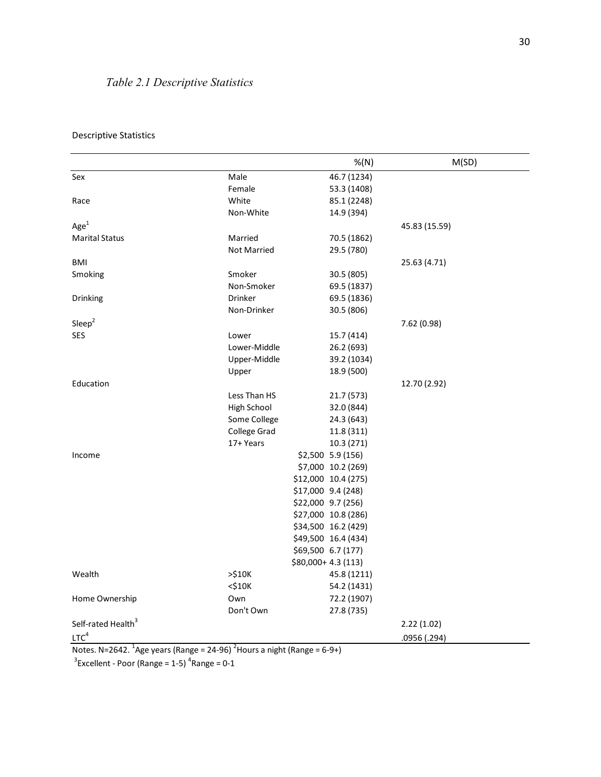### <span id="page-38-0"></span>*Table 2.1 Descriptive Statistics*

|                                |                    | %(N)                | M(SD)         |
|--------------------------------|--------------------|---------------------|---------------|
| Sex                            | Male               | 46.7 (1234)         |               |
|                                | Female             | 53.3 (1408)         |               |
| Race                           | White              | 85.1 (2248)         |               |
|                                | Non-White          | 14.9 (394)          |               |
| Age <sup>1</sup>               |                    |                     | 45.83 (15.59) |
| <b>Marital Status</b>          | Married            | 70.5 (1862)         |               |
|                                | <b>Not Married</b> | 29.5 (780)          |               |
| BMI                            |                    |                     | 25.63 (4.71)  |
| Smoking                        | Smoker             | 30.5 (805)          |               |
|                                | Non-Smoker         | 69.5 (1837)         |               |
| Drinking                       | <b>Drinker</b>     | 69.5 (1836)         |               |
|                                | Non-Drinker        | 30.5 (806)          |               |
| Sleep <sup>2</sup>             |                    |                     | 7.62 (0.98)   |
| <b>SES</b>                     | Lower              | 15.7 (414)          |               |
|                                | Lower-Middle       | 26.2 (693)          |               |
|                                | Upper-Middle       | 39.2 (1034)         |               |
|                                | Upper              | 18.9 (500)          |               |
| Education                      |                    |                     | 12.70 (2.92)  |
|                                | Less Than HS       | 21.7 (573)          |               |
|                                | High School        | 32.0 (844)          |               |
|                                | Some College       | 24.3 (643)          |               |
|                                | College Grad       | 11.8 (311)          |               |
|                                | 17+ Years          | 10.3 (271)          |               |
| Income                         |                    | \$2,500 5.9 (156)   |               |
|                                |                    | \$7,000 10.2 (269)  |               |
|                                |                    | \$12,000 10.4 (275) |               |
|                                |                    | \$17,000 9.4 (248)  |               |
|                                |                    | \$22,000 9.7 (256)  |               |
|                                |                    | \$27,000 10.8 (286) |               |
|                                |                    | \$34,500 16.2 (429) |               |
|                                |                    | \$49,500 16.4 (434) |               |
|                                |                    | \$69,500 6.7 (177)  |               |
|                                |                    | \$80,000+4.3 (113)  |               |
| Wealth                         | >510K              | 45.8 (1211)         |               |
|                                | $<$ \$10 $K$       | 54.2 (1431)         |               |
| Home Ownership                 | Own                | 72.2 (1907)         |               |
|                                | Don't Own          | 27.8 (735)          |               |
| Self-rated Health <sup>3</sup> |                    |                     | 2.22(1.02)    |
| LTC <sup>4</sup>               |                    |                     | .0956 (.294)  |
|                                |                    |                     |               |

#### Descriptive Statistics

Notes. N=2642.  $^{1}$ Age years (Range = 24-96)  $^{2}$ Hours a night (Range = 6-9+)

 $3$ Excellent - Poor (Range = 1-5)  $4$ Range = 0-1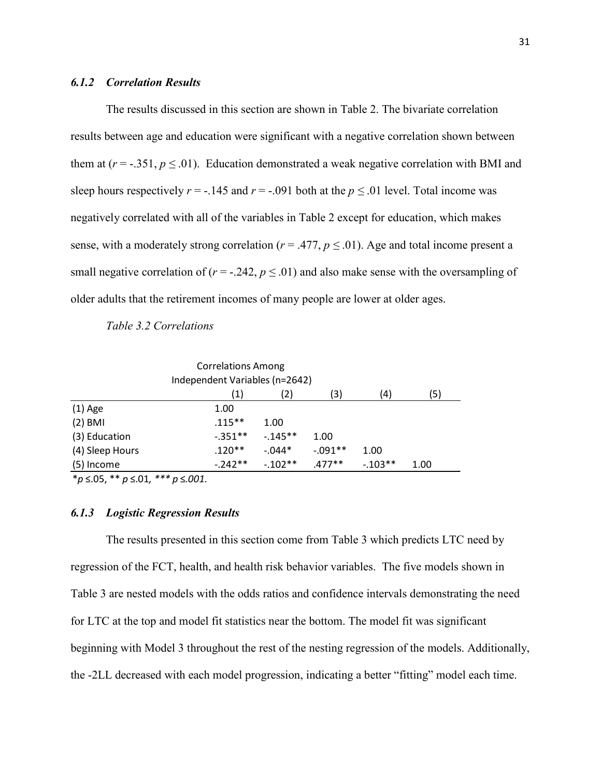#### <span id="page-39-0"></span>*6.1.2 Correlation Results*

The results discussed in this section are shown in Table 2. The bivariate correlation results between age and education were significant with a negative correlation shown between them at ( $r = -0.351$ ,  $p \le 0.01$ ). Education demonstrated a weak negative correlation with BMI and sleep hours respectively  $r = -.145$  and  $r = -.091$  both at the  $p \le .01$  level. Total income was negatively correlated with all of the variables in Table 2 except for education, which makes sense, with a moderately strong correlation ( $r = .477$ ,  $p \le .01$ ). Age and total income present a small negative correlation of ( $r = -.242$ ,  $p \le .01$ ) and also make sense with the oversampling of older adults that the retirement incomes of many people are lower at older ages.

<span id="page-39-2"></span>*Table 3.2 Correlations*

| <b>Correlations Among</b><br>Independent Variables (n=2642)        |           |            |            |      |  |  |  |  |  |
|--------------------------------------------------------------------|-----------|------------|------------|------|--|--|--|--|--|
| (5)<br>(4)<br>2)<br>(3)<br>(1)                                     |           |            |            |      |  |  |  |  |  |
| $(1)$ Age                                                          | 1.00      |            |            |      |  |  |  |  |  |
| $(2)$ BMI                                                          | $.115***$ | 1.00       |            |      |  |  |  |  |  |
| (3) Education                                                      | $-.351**$ | $-0.145**$ | 1.00       |      |  |  |  |  |  |
| (4) Sleep Hours                                                    | $.120**$  | $-.044*$   | $-0.091**$ | 1.00 |  |  |  |  |  |
| $-242**$<br>$.477**$<br>$-103**$<br>$-102**$<br>(5) Income<br>1.00 |           |            |            |      |  |  |  |  |  |

\**p* ≤.05, \*\* *p* ≤.01*, \*\*\* p* ≤*.001.*

#### <span id="page-39-1"></span>*6.1.3 Logistic Regression Results*

The results presented in this section come from Table 3 which predicts LTC need by regression of the FCT, health, and health risk behavior variables. The five models shown in Table 3 are nested models with the odds ratios and confidence intervals demonstrating the need for LTC at the top and model fit statistics near the bottom. The model fit was significant beginning with Model 3 throughout the rest of the nesting regression of the models. Additionally, the -2LL decreased with each model progression, indicating a better "fitting" model each time.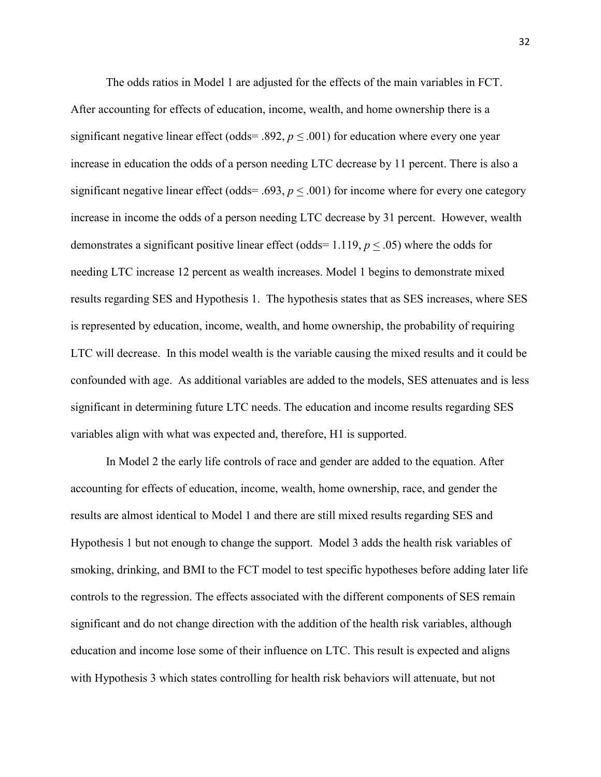The odds ratios in Model 1 are adjusted for the effects of the main variables in FCT. After accounting for effects of education, income, wealth, and home ownership there is a significant negative linear effect (odds= .892,  $p \leq .001$ ) for education where every one year increase in education the odds of a person needing LTC decrease by 11 percent. There is also a significant negative linear effect (odds= .693,  $p < .001$ ) for income where for every one category increase in income the odds of a person needing LTC decrease by 31 percent. However, wealth demonstrates a significant positive linear effect (odds=  $1.119, p \leq .05$ ) where the odds for needing LTC increase 12 percent as wealth increases. Model 1 begins to demonstrate mixed results regarding SES and Hypothesis 1. The hypothesis states that as SES increases, where SES is represented by education, income, wealth, and home ownership, the probability of requiring LTC will decrease. In this model wealth is the variable causing the mixed results and it could be confounded with age. As additional variables are added to the models, SES attenuates and is less significant in determining future LTC needs. The education and income results regarding SES variables align with what was expected and, therefore, H1 is supported.

In Model 2 the early life controls of race and gender are added to the equation. After accounting for effects of education, income, wealth, home ownership, race, and gender the results are almost identical to Model 1 and there are still mixed results regarding SES and Hypothesis 1 but not enough to change the support. Model 3 adds the health risk variables of smoking, drinking, and BMI to the FCT model to test specific hypotheses before adding later life controls to the regression. The effects associated with the different components of SES remain significant and do not change direction with the addition of the health risk variables, although education and income lose some of their influence on LTC. This result is expected and aligns with Hypothesis 3 which states controlling for health risk behaviors will attenuate, but not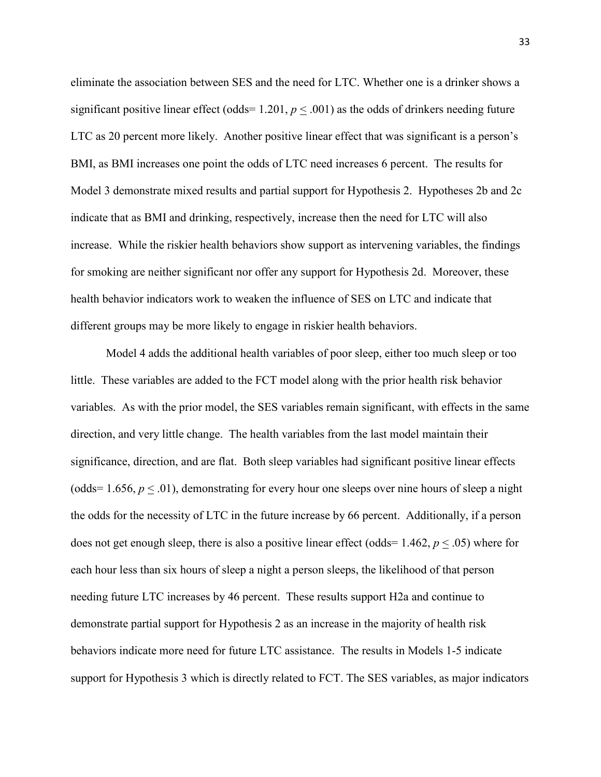eliminate the association between SES and the need for LTC. Whether one is a drinker shows a significant positive linear effect (odds=  $1.201, p \leq .001$ ) as the odds of drinkers needing future LTC as 20 percent more likely. Another positive linear effect that was significant is a person's BMI, as BMI increases one point the odds of LTC need increases 6 percent. The results for Model 3 demonstrate mixed results and partial support for Hypothesis 2. Hypotheses 2b and 2c indicate that as BMI and drinking, respectively, increase then the need for LTC will also increase. While the riskier health behaviors show support as intervening variables, the findings for smoking are neither significant nor offer any support for Hypothesis 2d. Moreover, these health behavior indicators work to weaken the influence of SES on LTC and indicate that different groups may be more likely to engage in riskier health behaviors.

Model 4 adds the additional health variables of poor sleep, either too much sleep or too little. These variables are added to the FCT model along with the prior health risk behavior variables. As with the prior model, the SES variables remain significant, with effects in the same direction, and very little change. The health variables from the last model maintain their significance, direction, and are flat. Both sleep variables had significant positive linear effects (odds=  $1.656, p \le 0.01$ ), demonstrating for every hour one sleeps over nine hours of sleep a night the odds for the necessity of LTC in the future increase by 66 percent. Additionally, if a person does not get enough sleep, there is also a positive linear effect (odds= 1.462, *p* < .05) where for each hour less than six hours of sleep a night a person sleeps, the likelihood of that person needing future LTC increases by 46 percent. These results support H2a and continue to demonstrate partial support for Hypothesis 2 as an increase in the majority of health risk behaviors indicate more need for future LTC assistance. The results in Models 1-5 indicate support for Hypothesis 3 which is directly related to FCT. The SES variables, as major indicators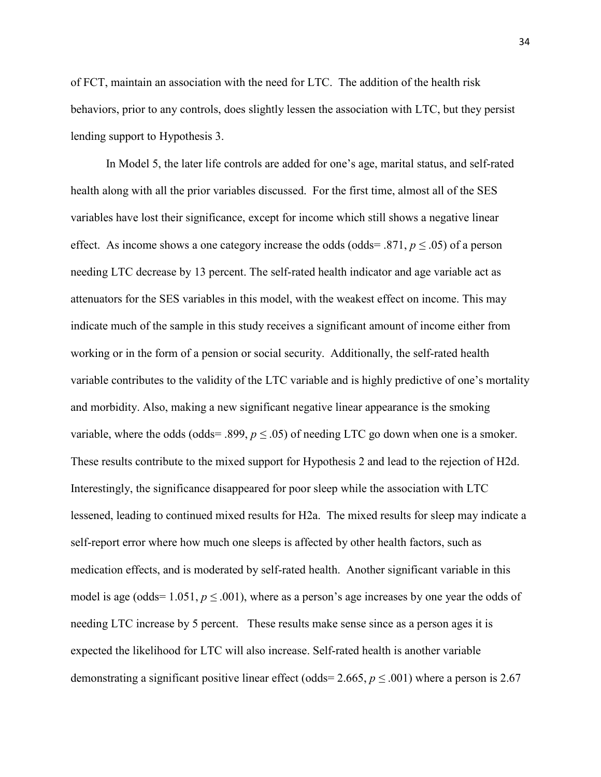of FCT, maintain an association with the need for LTC. The addition of the health risk behaviors, prior to any controls, does slightly lessen the association with LTC, but they persist lending support to Hypothesis 3.

In Model 5, the later life controls are added for one's age, marital status, and self-rated health along with all the prior variables discussed. For the first time, almost all of the SES variables have lost their significance, except for income which still shows a negative linear effect. As income shows a one category increase the odds (odds=  $.871, p \le .05$ ) of a person needing LTC decrease by 13 percent. The self-rated health indicator and age variable act as attenuators for the SES variables in this model, with the weakest effect on income. This may indicate much of the sample in this study receives a significant amount of income either from working or in the form of a pension or social security. Additionally, the self-rated health variable contributes to the validity of the LTC variable and is highly predictive of one's mortality and morbidity. Also, making a new significant negative linear appearance is the smoking variable, where the odds (odds= .899,  $p \leq .05$ ) of needing LTC go down when one is a smoker. These results contribute to the mixed support for Hypothesis 2 and lead to the rejection of H2d. Interestingly, the significance disappeared for poor sleep while the association with LTC lessened, leading to continued mixed results for H2a. The mixed results for sleep may indicate a self-report error where how much one sleeps is affected by other health factors, such as medication effects, and is moderated by self-rated health. Another significant variable in this model is age (odds=  $1.051, p \le 0.001$ ), where as a person's age increases by one year the odds of needing LTC increase by 5 percent. These results make sense since as a person ages it is expected the likelihood for LTC will also increase. Self-rated health is another variable demonstrating a significant positive linear effect (odds=  $2.665, p \le 0.001$ ) where a person is 2.67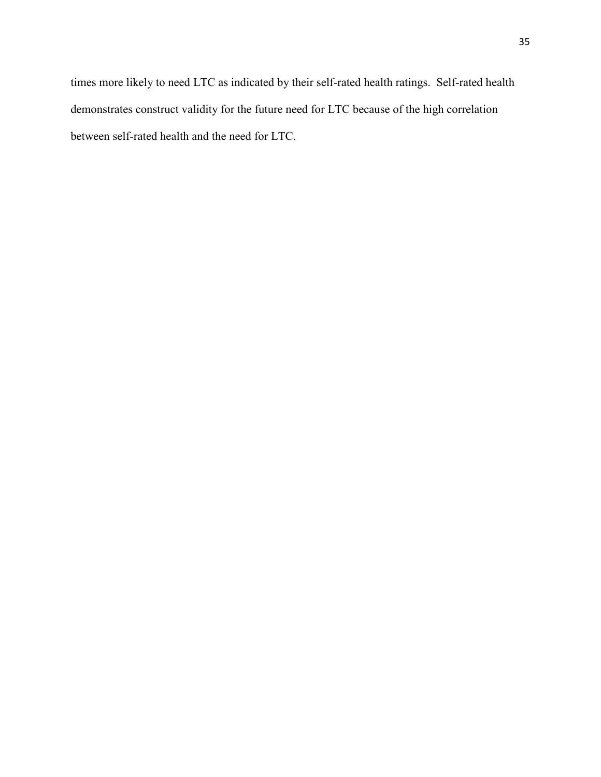times more likely to need LTC as indicated by their self-rated health ratings. Self-rated health demonstrates construct validity for the future need for LTC because of the high correlation between self-rated health and the need for LTC.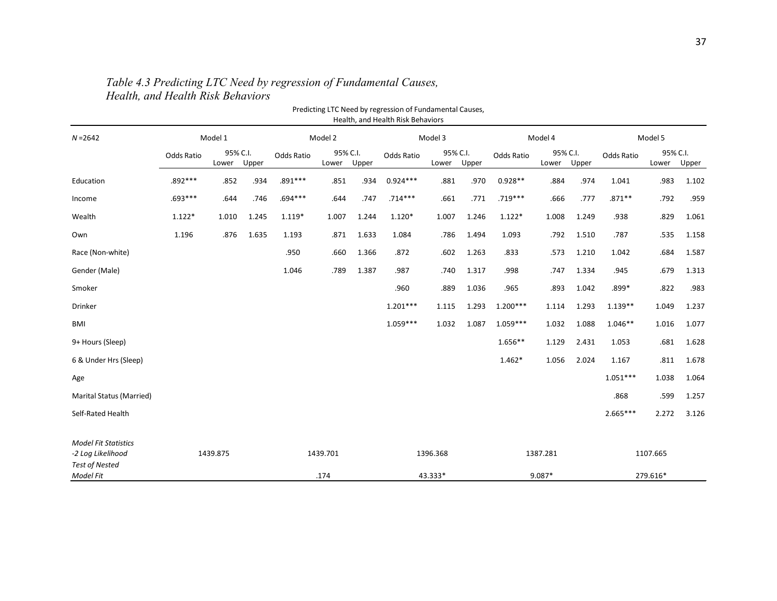<span id="page-44-0"></span>

| Predicting LTC Need by regression of Fundamental Causes,<br>Health, and Health Risk Behaviors |            |                   |          |            |                   |       |            |                   |        |            |                   |          |            |                   |       |
|-----------------------------------------------------------------------------------------------|------------|-------------------|----------|------------|-------------------|-------|------------|-------------------|--------|------------|-------------------|----------|------------|-------------------|-------|
| $N = 2642$                                                                                    | Model 1    |                   | Model 2  |            | Model 3           |       | Model 4    |                   |        | Model 5    |                   |          |            |                   |       |
|                                                                                               | Odds Ratio | 95% C.I.<br>Lower | Upper    | Odds Ratio | 95% C.I.<br>Lower | Upper | Odds Ratio | 95% C.I.<br>Lower | Upper  | Odds Ratio | 95% C.I.<br>Lower | Upper    | Odds Ratio | 95% C.I.<br>Lower | Upper |
| Education                                                                                     | .892 ***   | .852              | .934     | $.891***$  | .851              | .934  | $0.924***$ | .881              | .970   | $0.928**$  | .884              | .974     | 1.041      | .983              | 1.102 |
| Income                                                                                        | .693 ***   | .644              | .746     | .694 ***   | .644              | .747  | $.714***$  | .661              | .771   | $.719***$  | .666              | .777     | $.871**$   | .792              | .959  |
| Wealth                                                                                        | $1.122*$   | 1.010             | 1.245    | $1.119*$   | 1.007             | 1.244 | $1.120*$   | 1.007             | 1.246  | $1.122*$   | 1.008             | 1.249    | .938       | .829              | 1.061 |
| Own                                                                                           | 1.196      | .876              | 1.635    | 1.193      | .871              | 1.633 | 1.084      | .786              | 1.494  | 1.093      | .792              | 1.510    | .787       | .535              | 1.158 |
| Race (Non-white)                                                                              |            |                   |          | .950       | .660              | 1.366 | .872       | .602              | 1.263  | .833       | .573              | 1.210    | 1.042      | .684              | 1.587 |
| Gender (Male)                                                                                 |            |                   |          | 1.046      | .789              | 1.387 | .987       | .740              | 1.317  | .998       | .747              | 1.334    | .945       | .679              | 1.313 |
| Smoker                                                                                        |            |                   |          |            |                   |       | .960       | .889              | 1.036  | .965       | .893              | 1.042    | .899*      | .822              | .983  |
| Drinker                                                                                       |            |                   |          |            |                   |       | $1.201***$ | 1.115             | 1.293  | $1.200***$ | 1.114             | 1.293    | $1.139**$  | 1.049             | 1.237 |
| BMI                                                                                           |            |                   |          |            |                   |       | $1.059***$ | 1.032             | 1.087  | $1.059***$ | 1.032             | 1.088    | $1.046**$  | 1.016             | 1.077 |
| 9+ Hours (Sleep)                                                                              |            |                   |          |            |                   |       |            |                   |        | $1.656**$  | 1.129             | 2.431    | 1.053      | .681              | 1.628 |
| 6 & Under Hrs (Sleep)                                                                         |            |                   |          |            |                   |       |            |                   |        | $1.462*$   | 1.056             | 2.024    | 1.167      | .811              | 1.678 |
| Age                                                                                           |            |                   |          |            |                   |       |            |                   |        |            |                   |          | $1.051***$ | 1.038             | 1.064 |
| Marital Status (Married)                                                                      |            |                   |          |            |                   |       |            |                   |        |            |                   |          | .868       | .599              | 1.257 |
| Self-Rated Health                                                                             |            |                   |          |            |                   |       |            |                   |        |            |                   |          | $2.665***$ | 2.272             | 3.126 |
| <b>Model Fit Statistics</b><br>-2 Log Likelihood<br><b>Test of Nested</b>                     | 1439.875   |                   | 1439.701 |            | 1396.368          |       |            | 1387.281          |        |            | 1107.665          |          |            |                   |       |
| Model Fit                                                                                     |            |                   |          | .174       |                   |       | 43.333*    |                   | 9.087* |            |                   | 279.616* |            |                   |       |

### *Table 4.3 Predicting LTC Need by regression of Fundamental Causes, Health, and Health Risk Behaviors*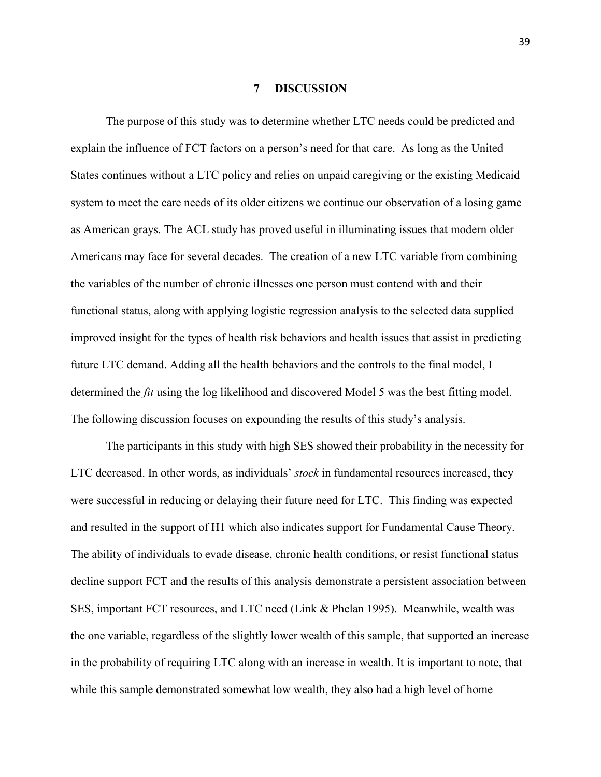#### **7 DISCUSSION**

<span id="page-45-0"></span>The purpose of this study was to determine whether LTC needs could be predicted and explain the influence of FCT factors on a person's need for that care. As long as the United States continues without a LTC policy and relies on unpaid caregiving or the existing Medicaid system to meet the care needs of its older citizens we continue our observation of a losing game as American grays. The ACL study has proved useful in illuminating issues that modern older Americans may face for several decades. The creation of a new LTC variable from combining the variables of the number of chronic illnesses one person must contend with and their functional status, along with applying logistic regression analysis to the selected data supplied improved insight for the types of health risk behaviors and health issues that assist in predicting future LTC demand. Adding all the health behaviors and the controls to the final model, I determined the *fit* using the log likelihood and discovered Model 5 was the best fitting model. The following discussion focuses on expounding the results of this study's analysis.

The participants in this study with high SES showed their probability in the necessity for LTC decreased. In other words, as individuals' *stock* in fundamental resources increased, they were successful in reducing or delaying their future need for LTC. This finding was expected and resulted in the support of H1 which also indicates support for Fundamental Cause Theory. The ability of individuals to evade disease, chronic health conditions, or resist functional status decline support FCT and the results of this analysis demonstrate a persistent association between SES, important FCT resources, and LTC need (Link & Phelan 1995). Meanwhile, wealth was the one variable, regardless of the slightly lower wealth of this sample, that supported an increase in the probability of requiring LTC along with an increase in wealth. It is important to note, that while this sample demonstrated somewhat low wealth, they also had a high level of home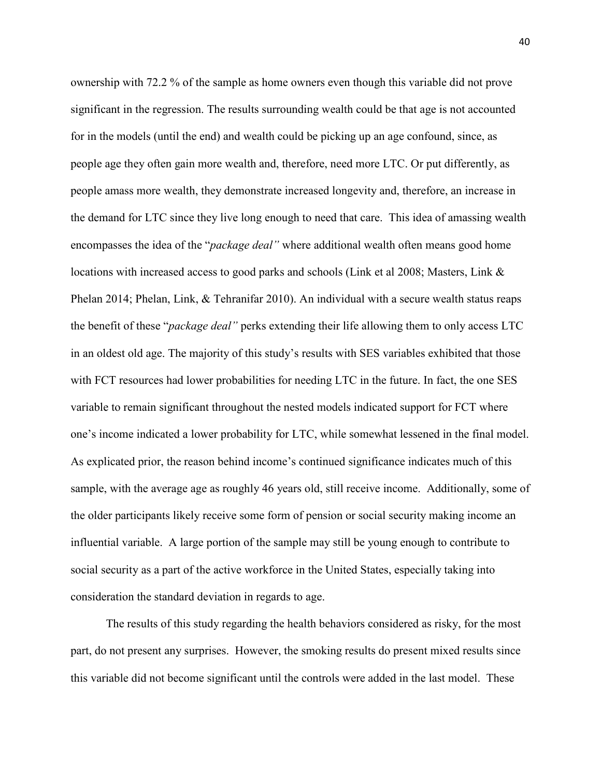ownership with 72.2 % of the sample as home owners even though this variable did not prove significant in the regression. The results surrounding wealth could be that age is not accounted for in the models (until the end) and wealth could be picking up an age confound, since, as people age they often gain more wealth and, therefore, need more LTC. Or put differently, as people amass more wealth, they demonstrate increased longevity and, therefore, an increase in the demand for LTC since they live long enough to need that care. This idea of amassing wealth encompasses the idea of the "*package deal"* where additional wealth often means good home locations with increased access to good parks and schools (Link et al 2008; Masters, Link & Phelan 2014; Phelan, Link, & Tehranifar 2010). An individual with a secure wealth status reaps the benefit of these "*package deal"* perks extending their life allowing them to only access LTC in an oldest old age. The majority of this study's results with SES variables exhibited that those with FCT resources had lower probabilities for needing LTC in the future. In fact, the one SES variable to remain significant throughout the nested models indicated support for FCT where one's income indicated a lower probability for LTC, while somewhat lessened in the final model. As explicated prior, the reason behind income's continued significance indicates much of this sample, with the average age as roughly 46 years old, still receive income. Additionally, some of the older participants likely receive some form of pension or social security making income an influential variable. A large portion of the sample may still be young enough to contribute to social security as a part of the active workforce in the United States, especially taking into consideration the standard deviation in regards to age.

The results of this study regarding the health behaviors considered as risky, for the most part, do not present any surprises. However, the smoking results do present mixed results since this variable did not become significant until the controls were added in the last model. These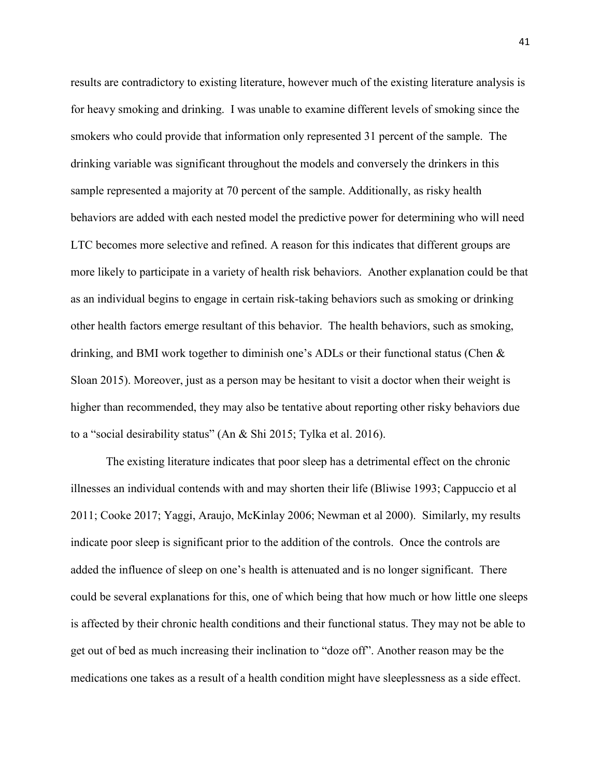results are contradictory to existing literature, however much of the existing literature analysis is for heavy smoking and drinking. I was unable to examine different levels of smoking since the smokers who could provide that information only represented 31 percent of the sample. The drinking variable was significant throughout the models and conversely the drinkers in this sample represented a majority at 70 percent of the sample. Additionally, as risky health behaviors are added with each nested model the predictive power for determining who will need LTC becomes more selective and refined. A reason for this indicates that different groups are more likely to participate in a variety of health risk behaviors. Another explanation could be that as an individual begins to engage in certain risk-taking behaviors such as smoking or drinking other health factors emerge resultant of this behavior. The health behaviors, such as smoking, drinking, and BMI work together to diminish one's ADLs or their functional status (Chen & Sloan 2015). Moreover, just as a person may be hesitant to visit a doctor when their weight is higher than recommended, they may also be tentative about reporting other risky behaviors due to a "social desirability status" (An & Shi 2015; Tylka et al. 2016).

The existing literature indicates that poor sleep has a detrimental effect on the chronic illnesses an individual contends with and may shorten their life (Bliwise 1993; Cappuccio et al 2011; Cooke 2017; Yaggi, Araujo, McKinlay 2006; Newman et al 2000). Similarly, my results indicate poor sleep is significant prior to the addition of the controls. Once the controls are added the influence of sleep on one's health is attenuated and is no longer significant. There could be several explanations for this, one of which being that how much or how little one sleeps is affected by their chronic health conditions and their functional status. They may not be able to get out of bed as much increasing their inclination to "doze off". Another reason may be the medications one takes as a result of a health condition might have sleeplessness as a side effect.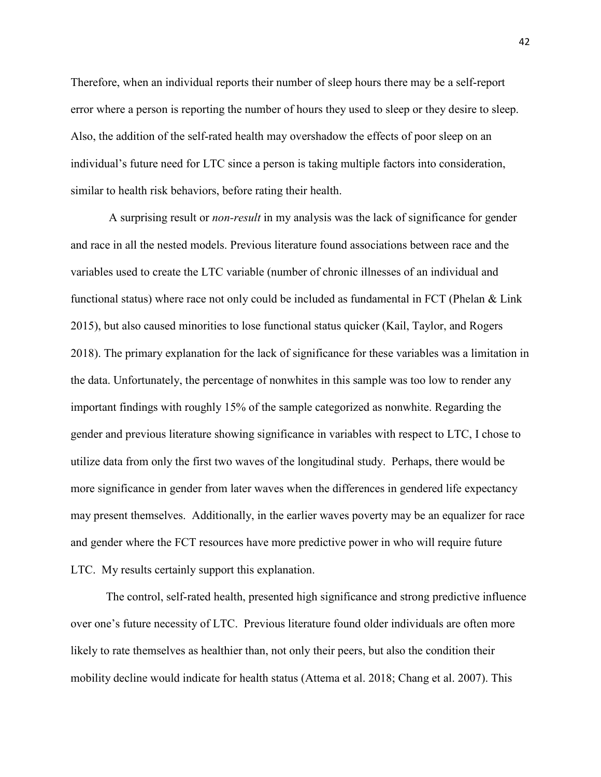Therefore, when an individual reports their number of sleep hours there may be a self-report error where a person is reporting the number of hours they used to sleep or they desire to sleep. Also, the addition of the self-rated health may overshadow the effects of poor sleep on an individual's future need for LTC since a person is taking multiple factors into consideration, similar to health risk behaviors, before rating their health.

A surprising result or *non-result* in my analysis was the lack of significance for gender and race in all the nested models. Previous literature found associations between race and the variables used to create the LTC variable (number of chronic illnesses of an individual and functional status) where race not only could be included as fundamental in FCT (Phelan & Link 2015), but also caused minorities to lose functional status quicker (Kail, Taylor, and Rogers 2018). The primary explanation for the lack of significance for these variables was a limitation in the data. Unfortunately, the percentage of nonwhites in this sample was too low to render any important findings with roughly 15% of the sample categorized as nonwhite. Regarding the gender and previous literature showing significance in variables with respect to LTC, I chose to utilize data from only the first two waves of the longitudinal study. Perhaps, there would be more significance in gender from later waves when the differences in gendered life expectancy may present themselves. Additionally, in the earlier waves poverty may be an equalizer for race and gender where the FCT resources have more predictive power in who will require future LTC. My results certainly support this explanation.

The control, self-rated health, presented high significance and strong predictive influence over one's future necessity of LTC. Previous literature found older individuals are often more likely to rate themselves as healthier than, not only their peers, but also the condition their mobility decline would indicate for health status (Attema et al. 2018; Chang et al. 2007). This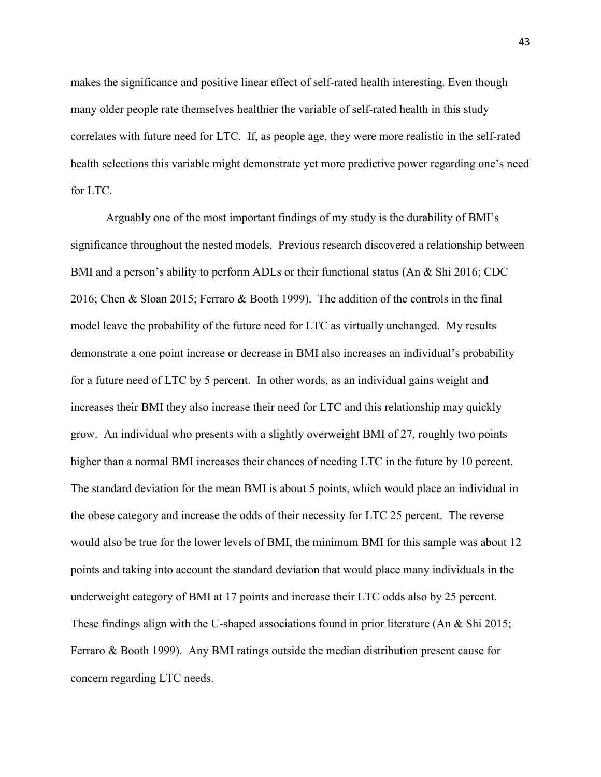makes the significance and positive linear effect of self-rated health interesting. Even though many older people rate themselves healthier the variable of self-rated health in this study correlates with future need for LTC. If, as people age, they were more realistic in the self-rated health selections this variable might demonstrate yet more predictive power regarding one's need for LTC.

Arguably one of the most important findings of my study is the durability of BMI's significance throughout the nested models. Previous research discovered a relationship between BMI and a person's ability to perform ADLs or their functional status (An & Shi 2016; CDC 2016; Chen & Sloan 2015; Ferraro & Booth 1999). The addition of the controls in the final model leave the probability of the future need for LTC as virtually unchanged. My results demonstrate a one point increase or decrease in BMI also increases an individual's probability for a future need of LTC by 5 percent. In other words, as an individual gains weight and increases their BMI they also increase their need for LTC and this relationship may quickly grow. An individual who presents with a slightly overweight BMI of 27, roughly two points higher than a normal BMI increases their chances of needing LTC in the future by 10 percent. The standard deviation for the mean BMI is about 5 points, which would place an individual in the obese category and increase the odds of their necessity for LTC 25 percent. The reverse would also be true for the lower levels of BMI, the minimum BMI for this sample was about 12 points and taking into account the standard deviation that would place many individuals in the underweight category of BMI at 17 points and increase their LTC odds also by 25 percent. These findings align with the U-shaped associations found in prior literature (An & Shi 2015; Ferraro & Booth 1999). Any BMI ratings outside the median distribution present cause for concern regarding LTC needs.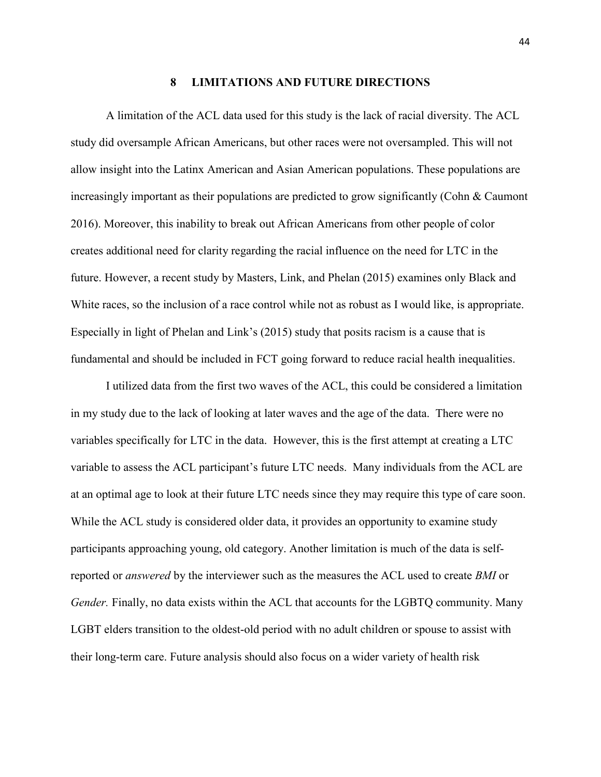#### **8 LIMITATIONS AND FUTURE DIRECTIONS**

<span id="page-50-0"></span>A limitation of the ACL data used for this study is the lack of racial diversity. The ACL study did oversample African Americans, but other races were not oversampled. This will not allow insight into the Latinx American and Asian American populations. These populations are increasingly important as their populations are predicted to grow significantly (Cohn & Caumont 2016). Moreover, this inability to break out African Americans from other people of color creates additional need for clarity regarding the racial influence on the need for LTC in the future. However, a recent study by Masters, Link, and Phelan (2015) examines only Black and White races, so the inclusion of a race control while not as robust as I would like, is appropriate. Especially in light of Phelan and Link's (2015) study that posits racism is a cause that is fundamental and should be included in FCT going forward to reduce racial health inequalities.

I utilized data from the first two waves of the ACL, this could be considered a limitation in my study due to the lack of looking at later waves and the age of the data. There were no variables specifically for LTC in the data. However, this is the first attempt at creating a LTC variable to assess the ACL participant's future LTC needs. Many individuals from the ACL are at an optimal age to look at their future LTC needs since they may require this type of care soon. While the ACL study is considered older data, it provides an opportunity to examine study participants approaching young, old category. Another limitation is much of the data is selfreported or *answered* by the interviewer such as the measures the ACL used to create *BMI* or *Gender.* Finally, no data exists within the ACL that accounts for the LGBTQ community. Many LGBT elders transition to the oldest-old period with no adult children or spouse to assist with their long-term care. Future analysis should also focus on a wider variety of health risk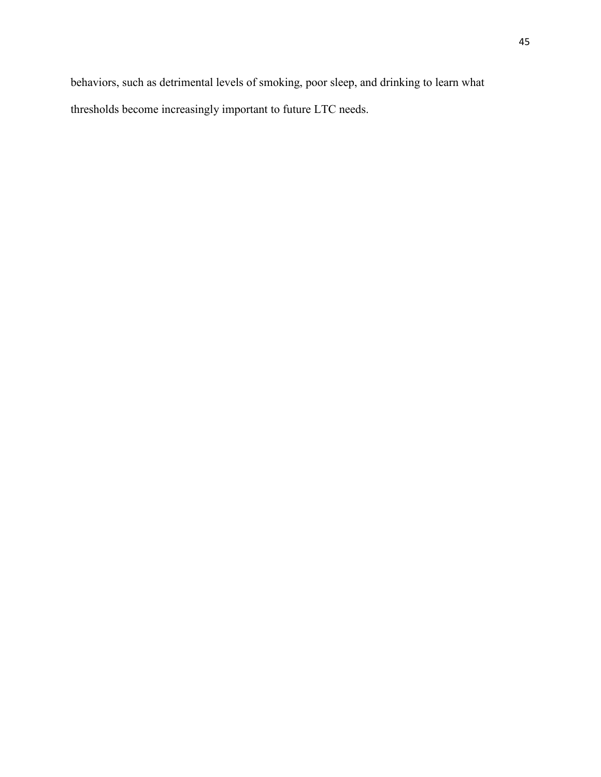behaviors, such as detrimental levels of smoking, poor sleep, and drinking to learn what thresholds become increasingly important to future LTC needs.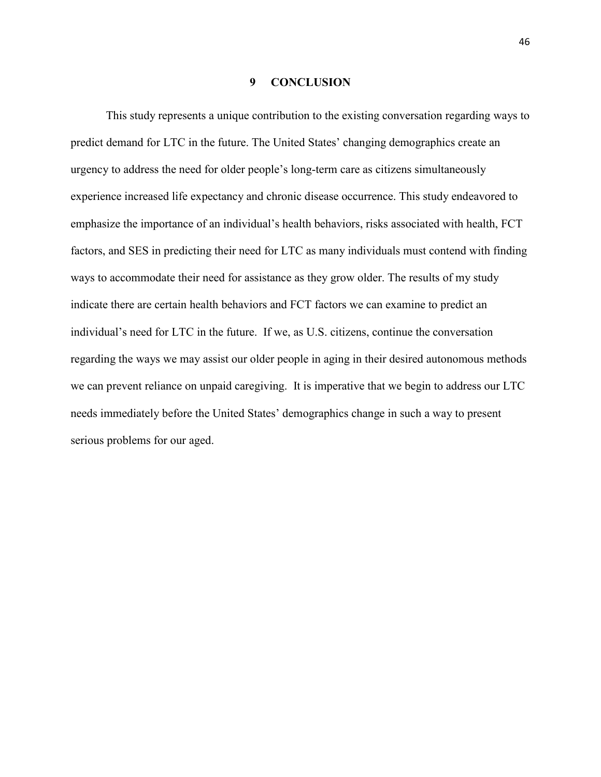#### **9 CONCLUSION**

<span id="page-52-0"></span>This study represents a unique contribution to the existing conversation regarding ways to predict demand for LTC in the future. The United States' changing demographics create an urgency to address the need for older people's long-term care as citizens simultaneously experience increased life expectancy and chronic disease occurrence. This study endeavored to emphasize the importance of an individual's health behaviors, risks associated with health, FCT factors, and SES in predicting their need for LTC as many individuals must contend with finding ways to accommodate their need for assistance as they grow older. The results of my study indicate there are certain health behaviors and FCT factors we can examine to predict an individual's need for LTC in the future. If we, as U.S. citizens, continue the conversation regarding the ways we may assist our older people in aging in their desired autonomous methods we can prevent reliance on unpaid caregiving. It is imperative that we begin to address our LTC needs immediately before the United States' demographics change in such a way to present serious problems for our aged.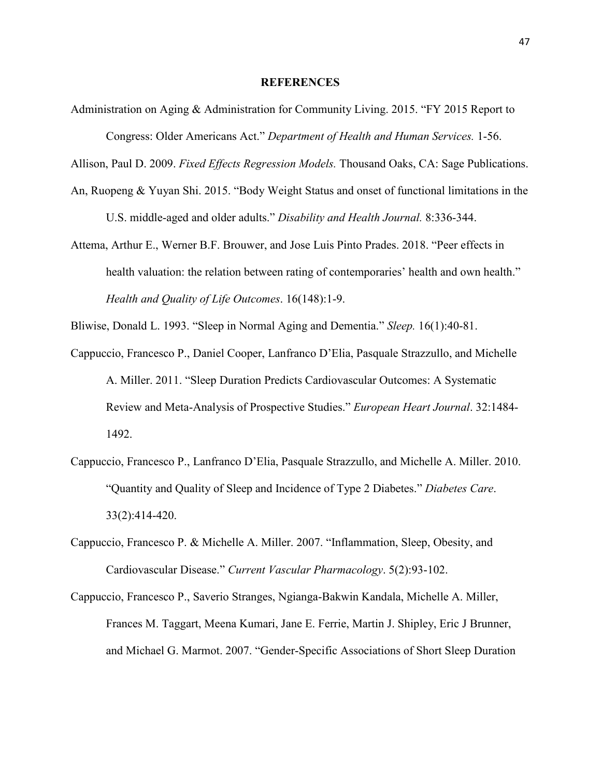#### **REFERENCES**

<span id="page-53-0"></span>Administration on Aging & Administration for Community Living. 2015. "FY 2015 Report to Congress: Older Americans Act." *Department of Health and Human Services.* 1-56.

Allison, Paul D. 2009. *Fixed Effects Regression Models.* Thousand Oaks, CA: Sage Publications.

- An, Ruopeng & Yuyan Shi. 2015. "Body Weight Status and onset of functional limitations in the U.S. middle-aged and older adults." *Disability and Health Journal.* 8:336-344.
- Attema, Arthur E., Werner B.F. Brouwer, and Jose Luis Pinto Prades. 2018. "Peer effects in health valuation: the relation between rating of contemporaries' health and own health." *Health and Quality of Life Outcomes*. 16(148):1-9.

Bliwise, Donald L. 1993. "Sleep in Normal Aging and Dementia." *Sleep.* 16(1):40-81.

- Cappuccio, Francesco P., Daniel Cooper, Lanfranco D'Elia, Pasquale Strazzullo, and Michelle A. Miller. 2011. "Sleep Duration Predicts Cardiovascular Outcomes: A Systematic Review and Meta-Analysis of Prospective Studies." *European Heart Journal*. 32:1484- 1492.
- Cappuccio, Francesco P., Lanfranco D'Elia, Pasquale Strazzullo, and Michelle A. Miller. 2010. "Quantity and Quality of Sleep and Incidence of Type 2 Diabetes." *Diabetes Care*. 33(2):414-420.
- Cappuccio, Francesco P. & Michelle A. Miller. 2007. "Inflammation, Sleep, Obesity, and Cardiovascular Disease." *Current Vascular Pharmacology*. 5(2):93-102.
- Cappuccio, Francesco P., Saverio Stranges, Ngianga-Bakwin Kandala, Michelle A. Miller, Frances M. Taggart, Meena Kumari, Jane E. Ferrie, Martin J. Shipley, Eric J Brunner, and Michael G. Marmot. 2007. "Gender-Specific Associations of Short Sleep Duration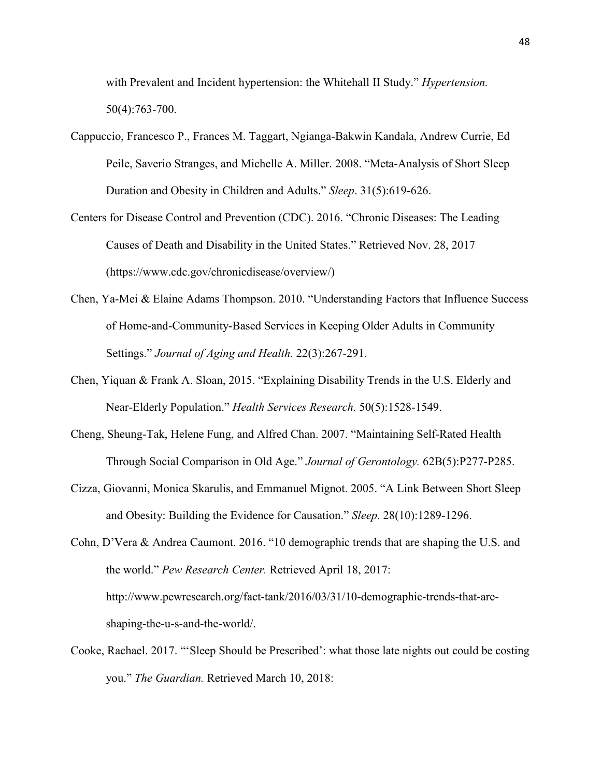with Prevalent and Incident hypertension: the Whitehall II Study." *Hypertension.*  50(4):763-700.

- Cappuccio, Francesco P., Frances M. Taggart, Ngianga-Bakwin Kandala, Andrew Currie, Ed Peile, Saverio Stranges, and Michelle A. Miller. 2008. "Meta-Analysis of Short Sleep Duration and Obesity in Children and Adults." *Sleep*. 31(5):619-626.
- Centers for Disease Control and Prevention (CDC). 2016. "Chronic Diseases: The Leading Causes of Death and Disability in the United States." Retrieved Nov. 28, 2017 (https://www.cdc.gov/chronicdisease/overview/)
- Chen, Ya-Mei & Elaine Adams Thompson. 2010. "Understanding Factors that Influence Success of Home-and-Community-Based Services in Keeping Older Adults in Community Settings." *Journal of Aging and Health.* 22(3):267-291.
- Chen, Yiquan & Frank A. Sloan, 2015. "Explaining Disability Trends in the U.S. Elderly and Near-Elderly Population." *Health Services Research.* 50(5):1528-1549.
- Cheng, Sheung-Tak, Helene Fung, and Alfred Chan. 2007. "Maintaining Self-Rated Health Through Social Comparison in Old Age." *Journal of Gerontology.* 62B(5):P277-P285.
- Cizza, Giovanni, Monica Skarulis, and Emmanuel Mignot. 2005. "A Link Between Short Sleep and Obesity: Building the Evidence for Causation." *Sleep*. 28(10):1289-1296.

Cohn, D'Vera & Andrea Caumont. 2016. "10 demographic trends that are shaping the U.S. and the world." *Pew Research Center.* Retrieved April 18, 2017: http://www.pewresearch.org/fact-tank/2016/03/31/10-demographic-trends-that-areshaping-the-u-s-and-the-world/.

Cooke, Rachael. 2017. "'Sleep Should be Prescribed': what those late nights out could be costing you." *The Guardian.* Retrieved March 10, 2018: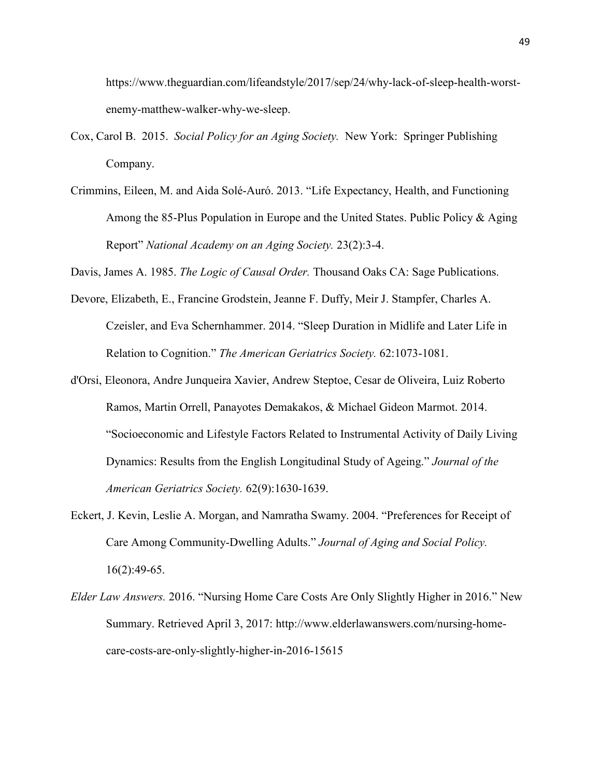https://www.theguardian.com/lifeandstyle/2017/sep/24/why-lack-of-sleep-health-worstenemy-matthew-walker-why-we-sleep.

- Cox, Carol B. 2015. *Social Policy for an Aging Society.* New York: Springer Publishing Company.
- Crimmins, Eileen, M. and Aida Solé-Auró. 2013. "Life Expectancy, Health, and Functioning Among the 85-Plus Population in Europe and the United States. Public Policy & Aging Report" *National Academy on an Aging Society.* 23(2):3-4.

Davis, James A. 1985. *The Logic of Causal Order.* Thousand Oaks CA: Sage Publications.

- Devore, Elizabeth, E., Francine Grodstein, Jeanne F. Duffy, Meir J. Stampfer, Charles A. Czeisler, and Eva Schernhammer. 2014. "Sleep Duration in Midlife and Later Life in Relation to Cognition." *The American Geriatrics Society.* 62:1073-1081.
- d'Orsi, Eleonora, Andre Junqueira Xavier, Andrew Steptoe, Cesar de Oliveira, Luiz Roberto Ramos, Martin Orrell, Panayotes Demakakos, & Michael Gideon Marmot. 2014. "Socioeconomic and Lifestyle Factors Related to Instrumental Activity of Daily Living Dynamics: Results from the English Longitudinal Study of Ageing." *Journal of the American Geriatrics Society.* 62(9):1630-1639.
- Eckert, J. Kevin, Leslie A. Morgan, and Namratha Swamy. 2004. "Preferences for Receipt of Care Among Community-Dwelling Adults." *Journal of Aging and Social Policy.*  $16(2):49-65.$
- *Elder Law Answers.* 2016. "Nursing Home Care Costs Are Only Slightly Higher in 2016." New Summary. Retrieved April 3, 2017: http://www.elderlawanswers.com/nursing-homecare-costs-are-only-slightly-higher-in-2016-15615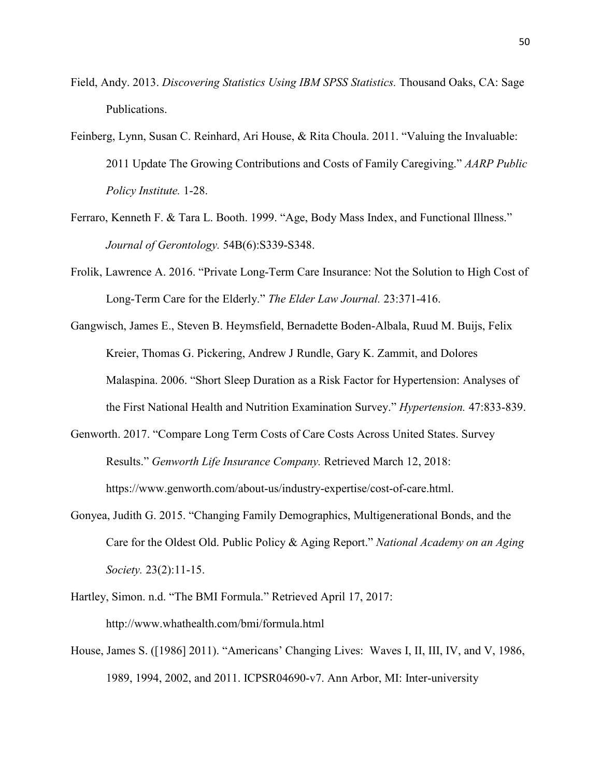- Field, Andy. 2013. *Discovering Statistics Using IBM SPSS Statistics.* Thousand Oaks, CA: Sage Publications.
- Feinberg, Lynn, Susan C. Reinhard, Ari House, & Rita Choula. 2011. "Valuing the Invaluable: 2011 Update The Growing Contributions and Costs of Family Caregiving." *AARP Public Policy Institute.* 1-28.
- Ferraro, Kenneth F. & Tara L. Booth. 1999. "Age, Body Mass Index, and Functional Illness." *Journal of Gerontology.* 54B(6):S339-S348.
- Frolik, Lawrence A. 2016. "Private Long-Term Care Insurance: Not the Solution to High Cost of Long-Term Care for the Elderly." *The Elder Law Journal.* 23:371-416.
- Gangwisch, James E., Steven B. Heymsfield, Bernadette Boden-Albala, Ruud M. Buijs, Felix Kreier, Thomas G. Pickering, Andrew J Rundle, Gary K. Zammit, and Dolores Malaspina. 2006. "Short Sleep Duration as a Risk Factor for Hypertension: Analyses of the First National Health and Nutrition Examination Survey." *Hypertension.* 47:833-839.
- Genworth. 2017. "Compare Long Term Costs of Care Costs Across United States. Survey Results." *Genworth Life Insurance Company.* Retrieved March 12, 2018: https://www.genworth.com/about-us/industry-expertise/cost-of-care.html.
- Gonyea, Judith G. 2015. "Changing Family Demographics, Multigenerational Bonds, and the Care for the Oldest Old. Public Policy & Aging Report." *National Academy on an Aging Society.* 23(2):11-15.
- Hartley, Simon. n.d. "The BMI Formula." Retrieved April 17, 2017: http://www.whathealth.com/bmi/formula.html
- House, James S. ([1986] 2011). "Americans' Changing Lives: Waves I, II, III, IV, and V, 1986, 1989, 1994, 2002, and 2011. ICPSR04690-v7. Ann Arbor, MI: Inter-university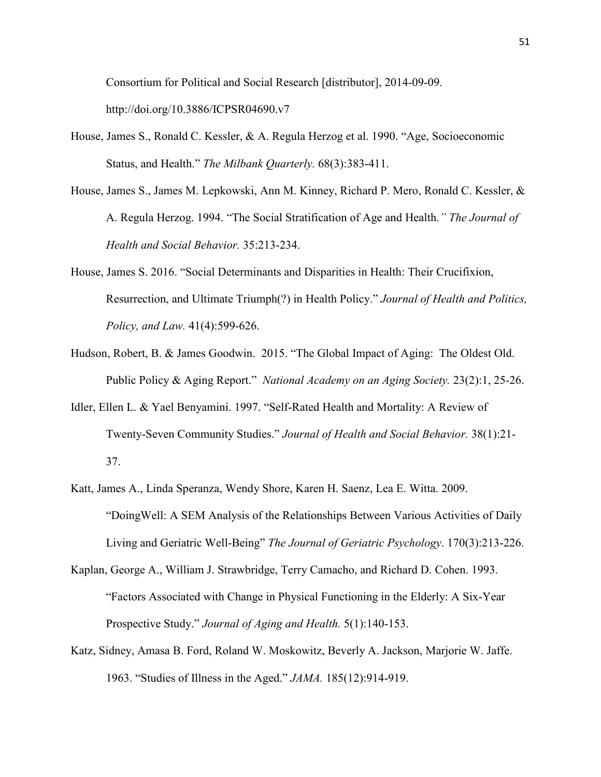Consortium for Political and Social Research [distributor], 2014-09-09. http://doi.org/10.3886/ICPSR04690.v7

- House, James S., Ronald C. Kessler, & A. Regula Herzog et al. 1990. "Age, Socioeconomic Status, and Health." *The Milbank Quarterly.* 68(3):383-411.
- House, James S., James M. Lepkowski, Ann M. Kinney, Richard P. Mero, Ronald C. Kessler, & A. Regula Herzog. 1994. "The Social Stratification of Age and Health*." The Journal of Health and Social Behavior.* 35:213-234.
- House, James S. 2016. "Social Determinants and Disparities in Health: Their Crucifixion, Resurrection, and Ultimate Triumph(?) in Health Policy." *Journal of Health and Politics, Policy, and Law.* 41(4):599-626.
- Hudson, Robert, B. & James Goodwin. 2015. "The Global Impact of Aging: The Oldest Old. Public Policy & Aging Report." *National Academy on an Aging Society.* 23(2):1, 25-26.
- Idler, Ellen L. & Yael Benyamini. 1997. "Self-Rated Health and Mortality: A Review of Twenty-Seven Community Studies." *Journal of Health and Social Behavior.* 38(1):21- 37.
- Katt, James A., Linda Speranza, Wendy Shore, Karen H. Saenz, Lea E. Witta. 2009. "DoingWell: A SEM Analysis of the Relationships Between Various Activities of Daily Living and Geriatric Well-Being" *The Journal of Geriatric Psychology*. 170(3):213-226.
- Kaplan, George A., William J. Strawbridge, Terry Camacho, and Richard D. Cohen. 1993. "Factors Associated with Change in Physical Functioning in the Elderly: A Six-Year Prospective Study." *Journal of Aging and Health.* 5(1):140-153.
- Katz, Sidney, Amasa B. Ford, Roland W. Moskowitz, Beverly A. Jackson, Marjorie W. Jaffe. 1963. "Studies of Illness in the Aged." *JAMA.* 185(12):914-919.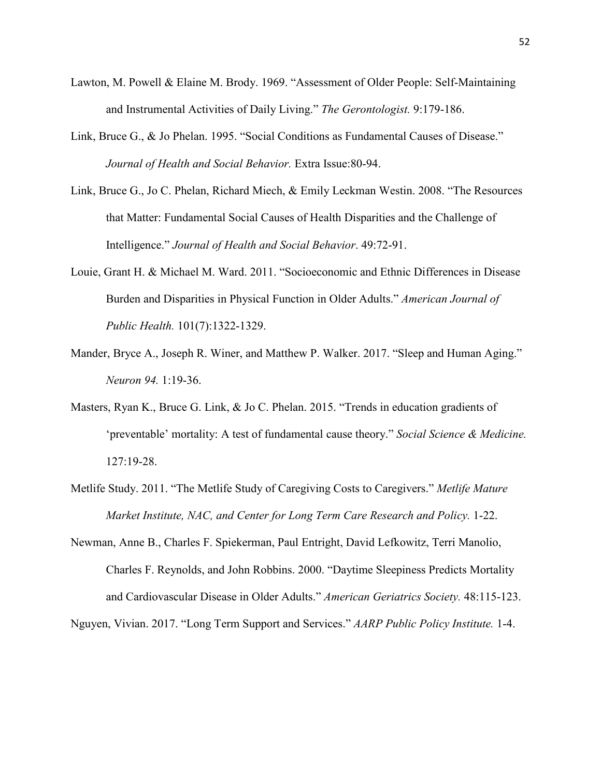- Lawton, M. Powell & Elaine M. Brody. 1969. "Assessment of Older People: Self-Maintaining and Instrumental Activities of Daily Living." *The Gerontologist.* 9:179-186.
- Link, Bruce G., & Jo Phelan. 1995. "Social Conditions as Fundamental Causes of Disease." *Journal of Health and Social Behavior.* Extra Issue:80-94.
- Link, Bruce G., Jo C. Phelan, Richard Miech, & Emily Leckman Westin. 2008. "The Resources that Matter: Fundamental Social Causes of Health Disparities and the Challenge of Intelligence." *Journal of Health and Social Behavior*. 49:72-91.
- Louie, Grant H. & Michael M. Ward. 2011. "Socioeconomic and Ethnic Differences in Disease Burden and Disparities in Physical Function in Older Adults." *American Journal of Public Health.* 101(7):1322-1329.
- Mander, Bryce A., Joseph R. Winer, and Matthew P. Walker. 2017. "Sleep and Human Aging." *Neuron 94.* 1:19-36.
- Masters, Ryan K., Bruce G. Link, & Jo C. Phelan. 2015. "Trends in education gradients of 'preventable' mortality: A test of fundamental cause theory." *Social Science & Medicine.* 127:19-28.
- Metlife Study. 2011. "The Metlife Study of Caregiving Costs to Caregivers." *Metlife Mature Market Institute, NAC, and Center for Long Term Care Research and Policy.* 1-22.
- Newman, Anne B., Charles F. Spiekerman, Paul Entright, David Lefkowitz, Terri Manolio, Charles F. Reynolds, and John Robbins. 2000. "Daytime Sleepiness Predicts Mortality and Cardiovascular Disease in Older Adults." *American Geriatrics Society.* 48:115-123.

Nguyen, Vivian. 2017. "Long Term Support and Services." *AARP Public Policy Institute.* 1-4.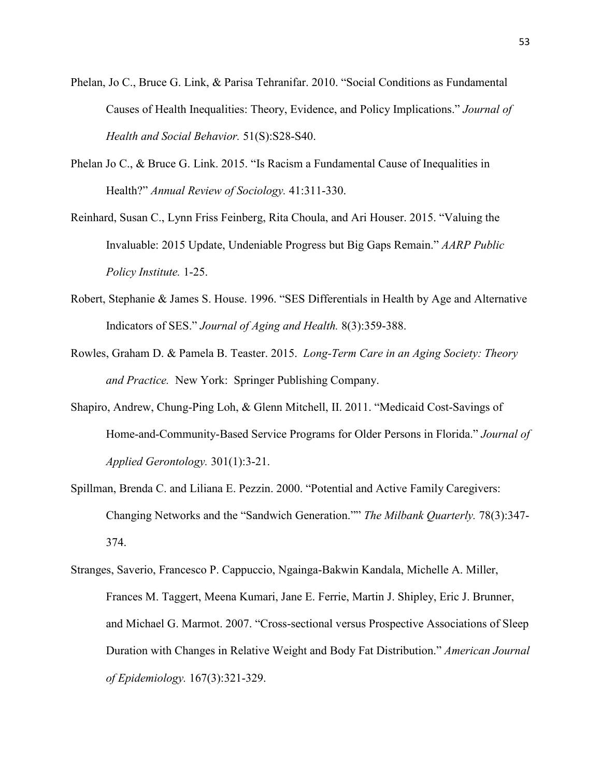- Phelan, Jo C., Bruce G. Link, & Parisa Tehranifar. 2010. "Social Conditions as Fundamental Causes of Health Inequalities: Theory, Evidence, and Policy Implications." *Journal of Health and Social Behavior.* 51(S):S28-S40.
- Phelan Jo C., & Bruce G. Link. 2015. "Is Racism a Fundamental Cause of Inequalities in Health?" *Annual Review of Sociology.* 41:311-330.
- Reinhard, Susan C., Lynn Friss Feinberg, Rita Choula, and Ari Houser. 2015. "Valuing the Invaluable: 2015 Update, Undeniable Progress but Big Gaps Remain." *AARP Public Policy Institute.* 1-25.
- Robert, Stephanie & James S. House. 1996. "SES Differentials in Health by Age and Alternative Indicators of SES." *Journal of Aging and Health.* 8(3):359-388.
- Rowles, Graham D. & Pamela B. Teaster. 2015. *Long-Term Care in an Aging Society: Theory and Practice.* New York: Springer Publishing Company.
- Shapiro, Andrew, Chung-Ping Loh, & Glenn Mitchell, II. 2011. "Medicaid Cost-Savings of Home-and-Community-Based Service Programs for Older Persons in Florida." *Journal of Applied Gerontology.* 301(1):3-21.
- Spillman, Brenda C. and Liliana E. Pezzin. 2000. "Potential and Active Family Caregivers: Changing Networks and the "Sandwich Generation."" *The Milbank Quarterly.* 78(3):347- 374.
- Stranges, Saverio, Francesco P. Cappuccio, Ngainga-Bakwin Kandala, Michelle A. Miller, Frances M. Taggert, Meena Kumari, Jane E. Ferrie, Martin J. Shipley, Eric J. Brunner, and Michael G. Marmot. 2007. "Cross-sectional versus Prospective Associations of Sleep Duration with Changes in Relative Weight and Body Fat Distribution." *American Journal of Epidemiology.* 167(3):321-329.